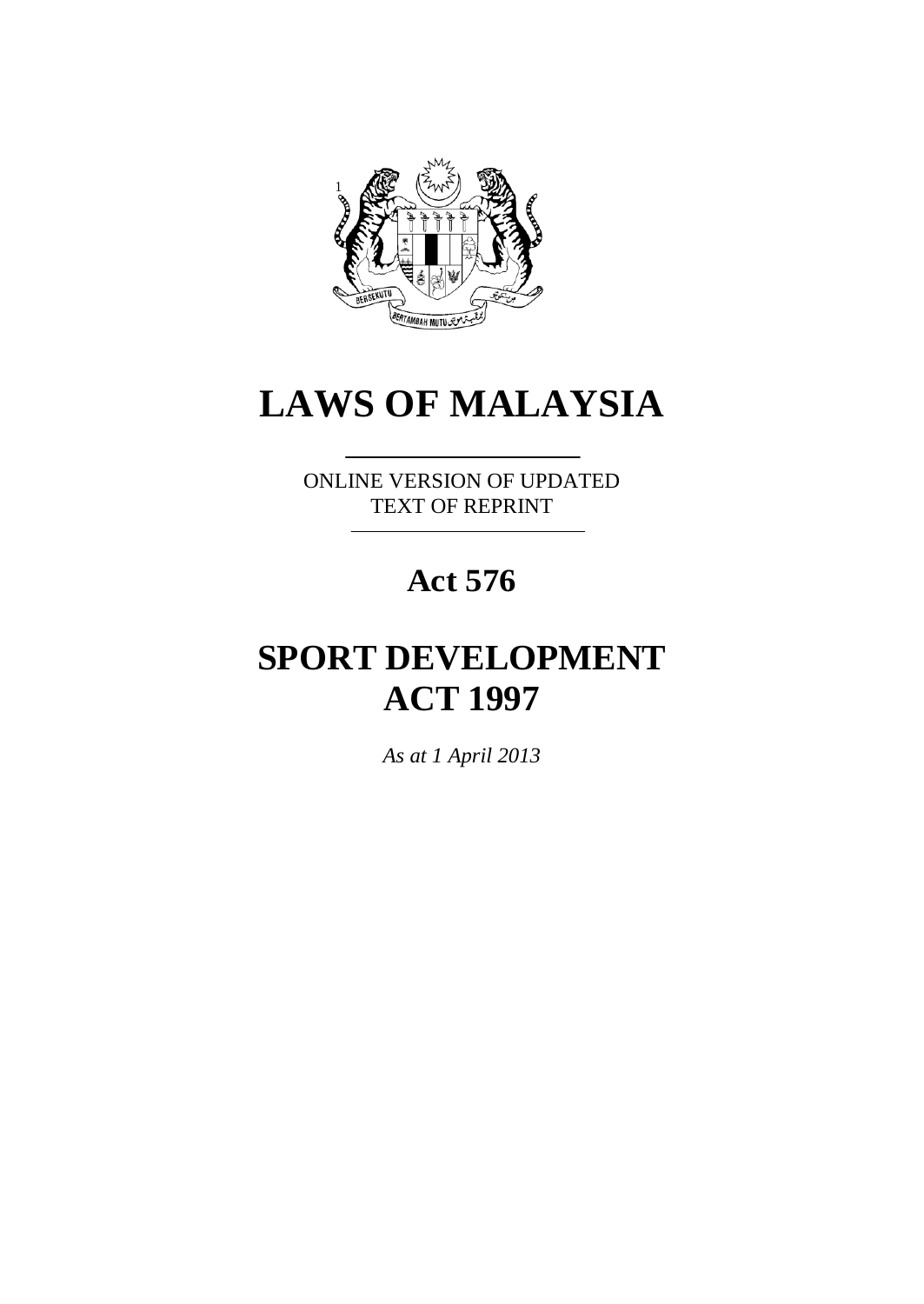

# **LAWS OF MALAYSIA**

ONLINE VERSION OF UPDATED TEXT OF REPRINT

# **Act 576**

# **SPORT DEVELOPMENT ACT 1997**

*As at 1 April 2013*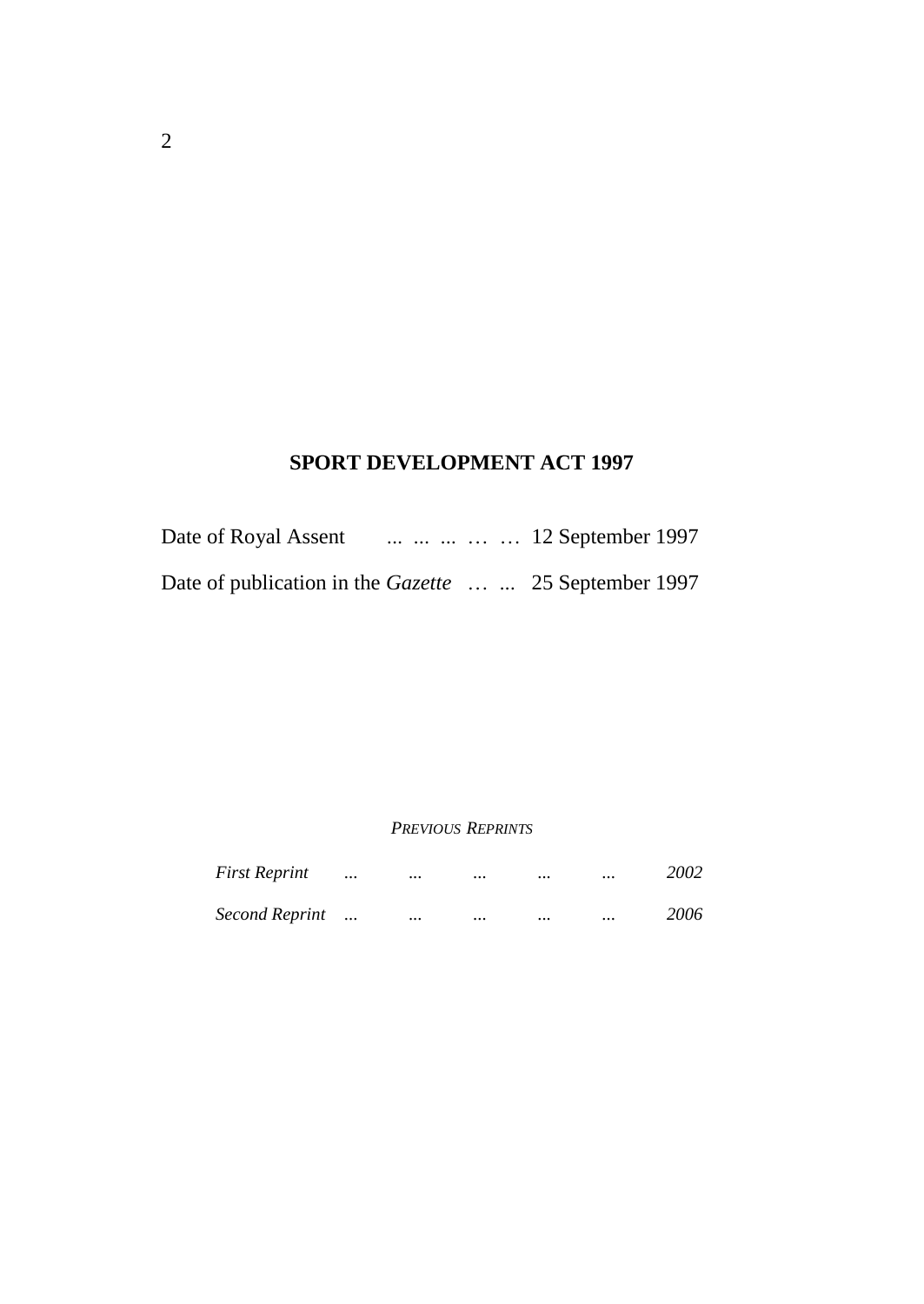# **SPORT DEVELOPMENT ACT 1997**

| Date of Royal Assent                                   |  |  | 12 September 1997 |
|--------------------------------------------------------|--|--|-------------------|
| Date of publication in the Gazette   25 September 1997 |  |  |                   |

#### *PREVIOUS REPRINTS*

| <b>First Reprint</b>  | $\cdots$ | $\cdots$ | $\cdots$ | $\cdots$ | <br>2002 |
|-----------------------|----------|----------|----------|----------|----------|
| <b>Second Reprint</b> |          | $\cdots$ | $\cdots$ | $\cdots$ | <br>2006 |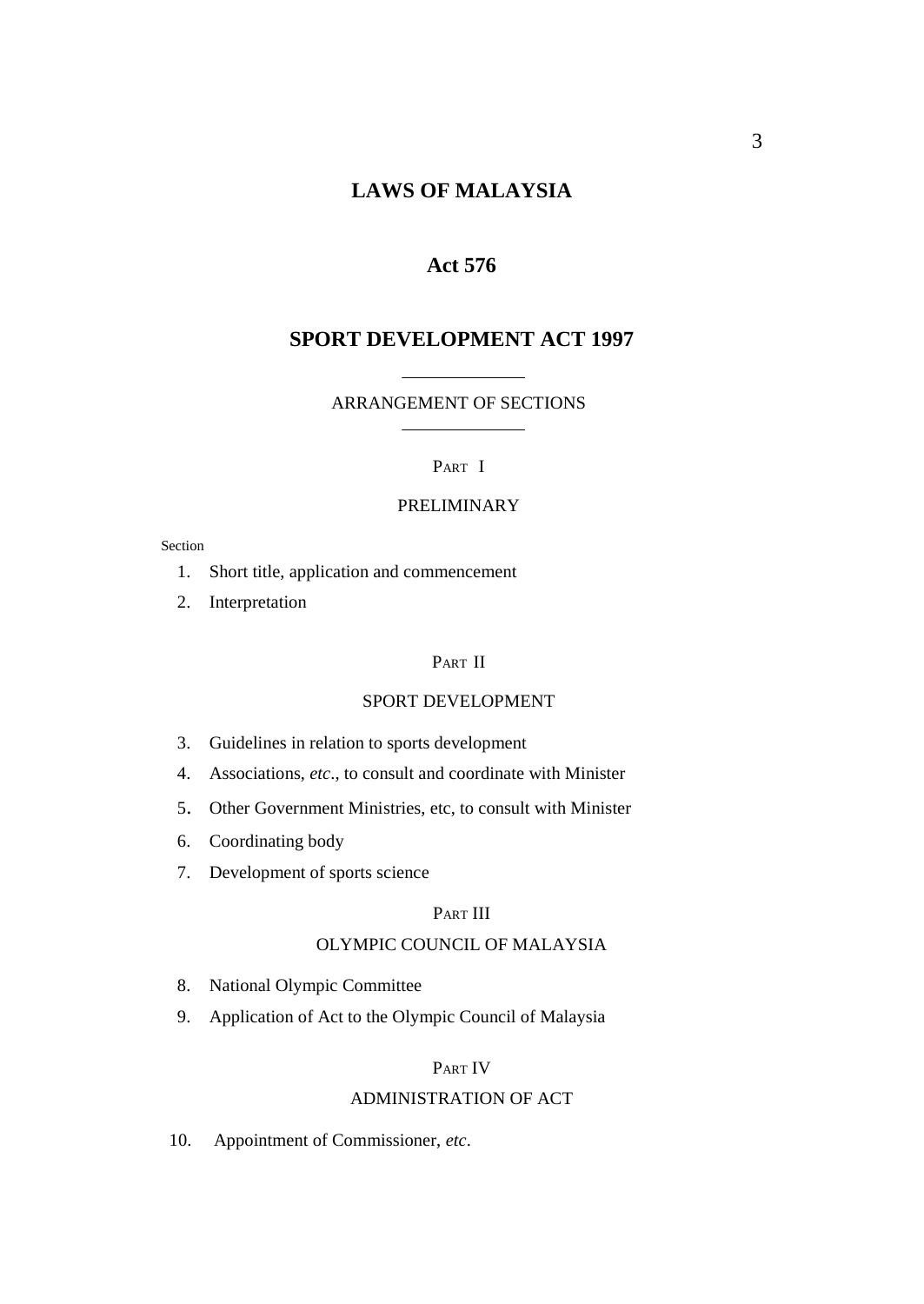## **LAWS OF MALAYSIA**

#### **Act 576**

## **SPORT DEVELOPMENT ACT 1997**

#### ARRANGEMENT OF SECTIONS

#### PART I

#### PRELIMINARY

#### Section

- 1. Short title, application and commencement
- 2. Interpretation

#### PART II

#### SPORT DEVELOPMENT

- 3. Guidelines in relation to sports development
- 4. Associations, *etc*., to consult and coordinate with Minister
- 5. Other Government Ministries, etc, to consult with Minister
- 6. Coordinating body
- 7. Development of sports science

#### PART III

#### OLYMPIC COUNCIL OF MALAYSIA

- 8. National Olympic Committee
- 9. Application of Act to the Olympic Council of Malaysia

#### PART IV

#### ADMINISTRATION OF ACT

10. Appointment of Commissioner, *etc*.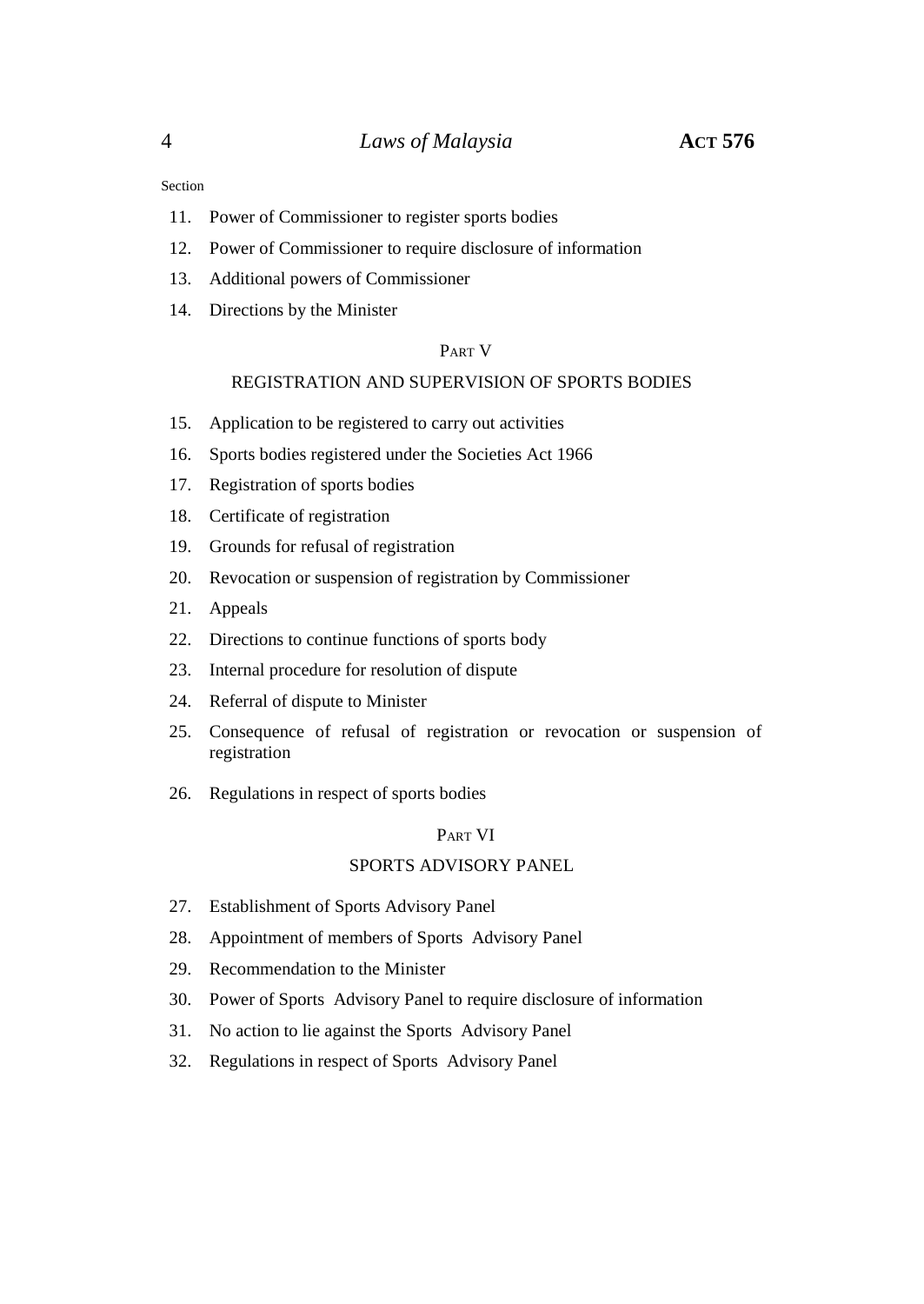#### Section

- 11. Power of Commissioner to register sports bodies
- 12. Power of Commissioner to require disclosure of information
- 13. Additional powers of Commissioner
- 14. Directions by the Minister

#### PART V

#### REGISTRATION AND SUPERVISION OF SPORTS BODIES

- 15. Application to be registered to carry out activities
- 16. Sports bodies registered under the Societies Act 1966
- 17. Registration of sports bodies
- 18. Certificate of registration
- 19. Grounds for refusal of registration
- 20. Revocation or suspension of registration by Commissioner
- 21. Appeals
- 22. Directions to continue functions of sports body
- 23. Internal procedure for resolution of dispute
- 24. Referral of dispute to Minister
- 25. Consequence of refusal of registration or revocation or suspension of registration
- 26. Regulations in respect of sports bodies

#### PART VI

#### SPORTS ADVISORY PANEL

- 27. Establishment of Sports Advisory Panel
- 28. Appointment of members of Sports Advisory Panel
- 29. Recommendation to the Minister
- 30. Power of Sports Advisory Panel to require disclosure of information
- 31. No action to lie against the Sports Advisory Panel
- 32. Regulations in respect of Sports Advisory Panel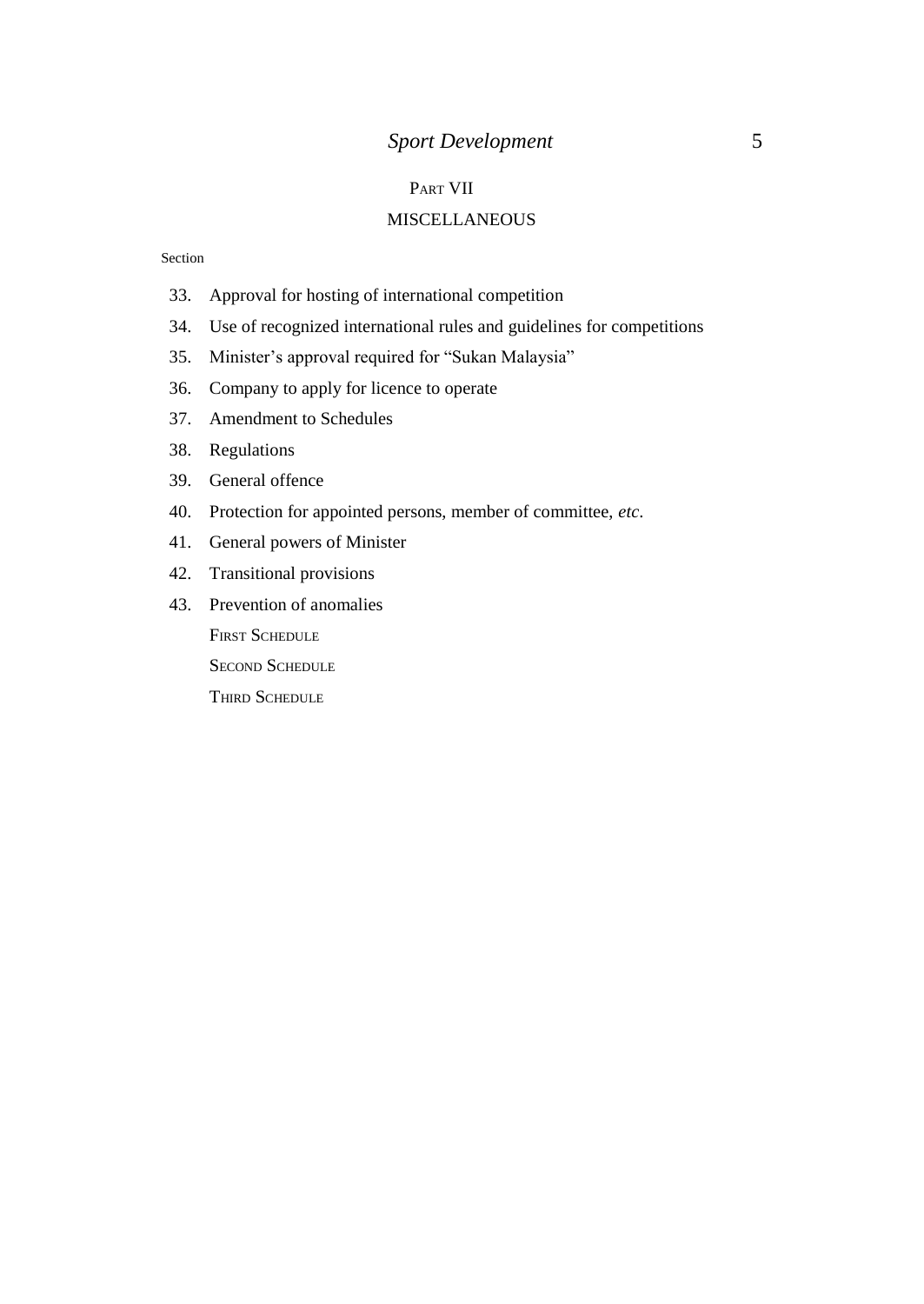## *Sport Development* 5

#### PART VII

#### **MISCELLANEOUS**

#### Section

- 33. Approval for hosting of international competition
- 34. Use of recognized international rules and guidelines for competitions
- 35. Minister's approval required for "Sukan Malaysia"
- 36. Company to apply for licence to operate
- 37. Amendment to Schedules
- 38. Regulations
- 39. General offence
- 40. Protection for appointed persons, member of committee, *etc*.
- 41. General powers of Minister
- 42. Transitional provisions
- 43. Prevention of anomalies

FIRST SCHEDULE

SECOND SCHEDULE

THIRD SCHEDULE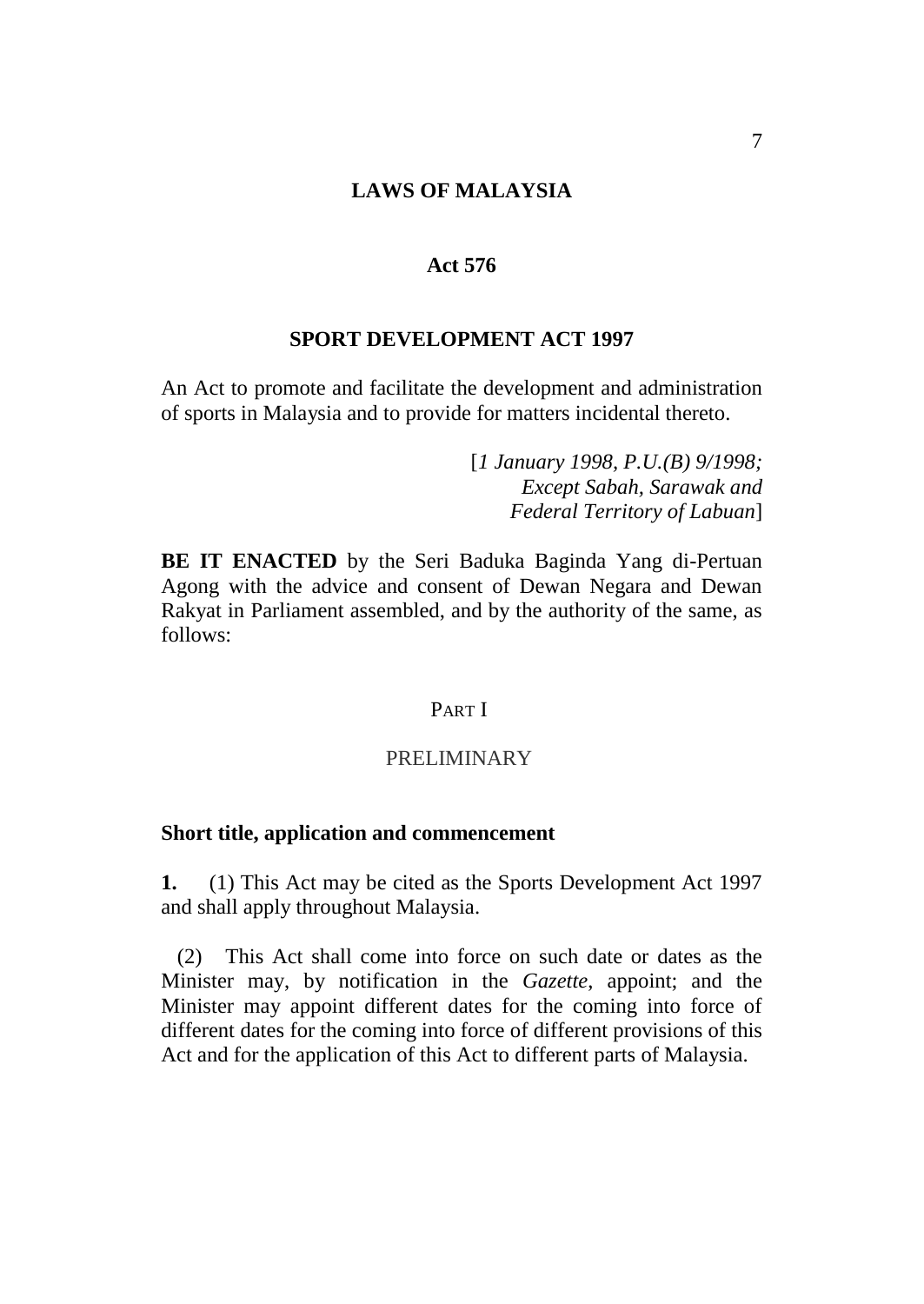#### **LAWS OF MALAYSIA**

#### **Act 576**

#### **SPORT DEVELOPMENT ACT 1997**

An Act to promote and facilitate the development and administration of sports in Malaysia and to provide for matters incidental thereto.

> [*1 January 1998, P.U.(B) 9/1998; Except Sabah, Sarawak and Federal Territory of Labuan*]

**BE IT ENACTED** by the Seri Baduka Baginda Yang di-Pertuan Agong with the advice and consent of Dewan Negara and Dewan Rakyat in Parliament assembled, and by the authority of the same, as follows:

## PART I

#### PRELIMINARY

#### **Short title, application and commencement**

**1.** (1) This Act may be cited as the Sports Development Act 1997 and shall apply throughout Malaysia.

(2) This Act shall come into force on such date or dates as the Minister may, by notification in the *Gazette*, appoint; and the Minister may appoint different dates for the coming into force of different dates for the coming into force of different provisions of this Act and for the application of this Act to different parts of Malaysia.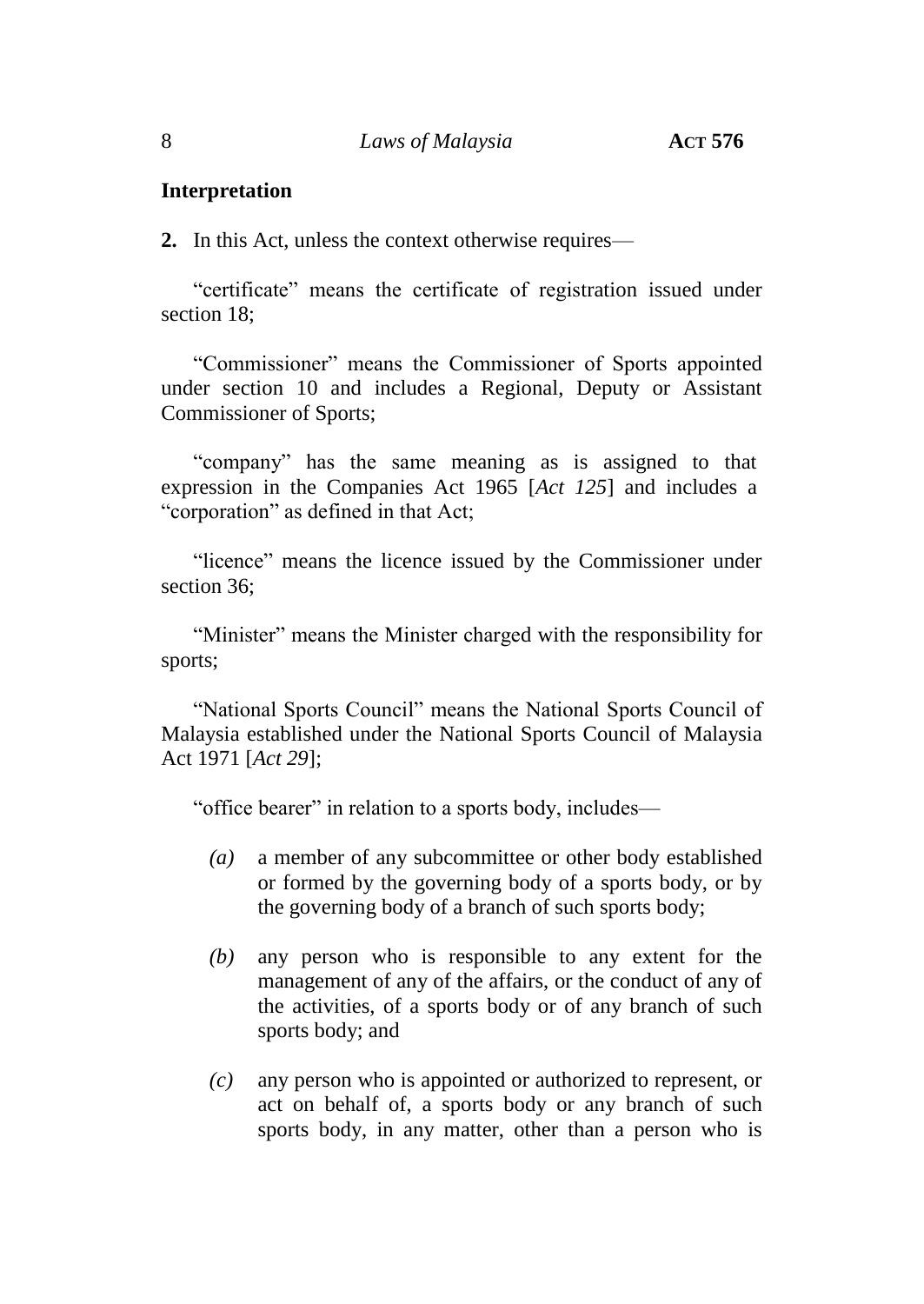#### **Interpretation**

**2.** In this Act, unless the context otherwise requires—

"certificate" means the certificate of registration issued under section 18;

"Commissioner" means the Commissioner of Sports appointed under section 10 and includes a Regional, Deputy or Assistant Commissioner of Sports;

"company" has the same meaning as is assigned to that expression in the Companies Act 1965 [*Act 125*] and includes a "corporation" as defined in that Act;

"licence" means the licence issued by the Commissioner under section 36;

"Minister" means the Minister charged with the responsibility for sports;

"National Sports Council" means the National Sports Council of Malaysia established under the National Sports Council of Malaysia Act 1971 [*Act 29*];

"office bearer" in relation to a sports body, includes—

- *(a)* a member of any subcommittee or other body established or formed by the governing body of a sports body, or by the governing body of a branch of such sports body;
- *(b)* any person who is responsible to any extent for the management of any of the affairs, or the conduct of any of the activities, of a sports body or of any branch of such sports body; and
- *(c)* any person who is appointed or authorized to represent, or act on behalf of, a sports body or any branch of such sports body, in any matter, other than a person who is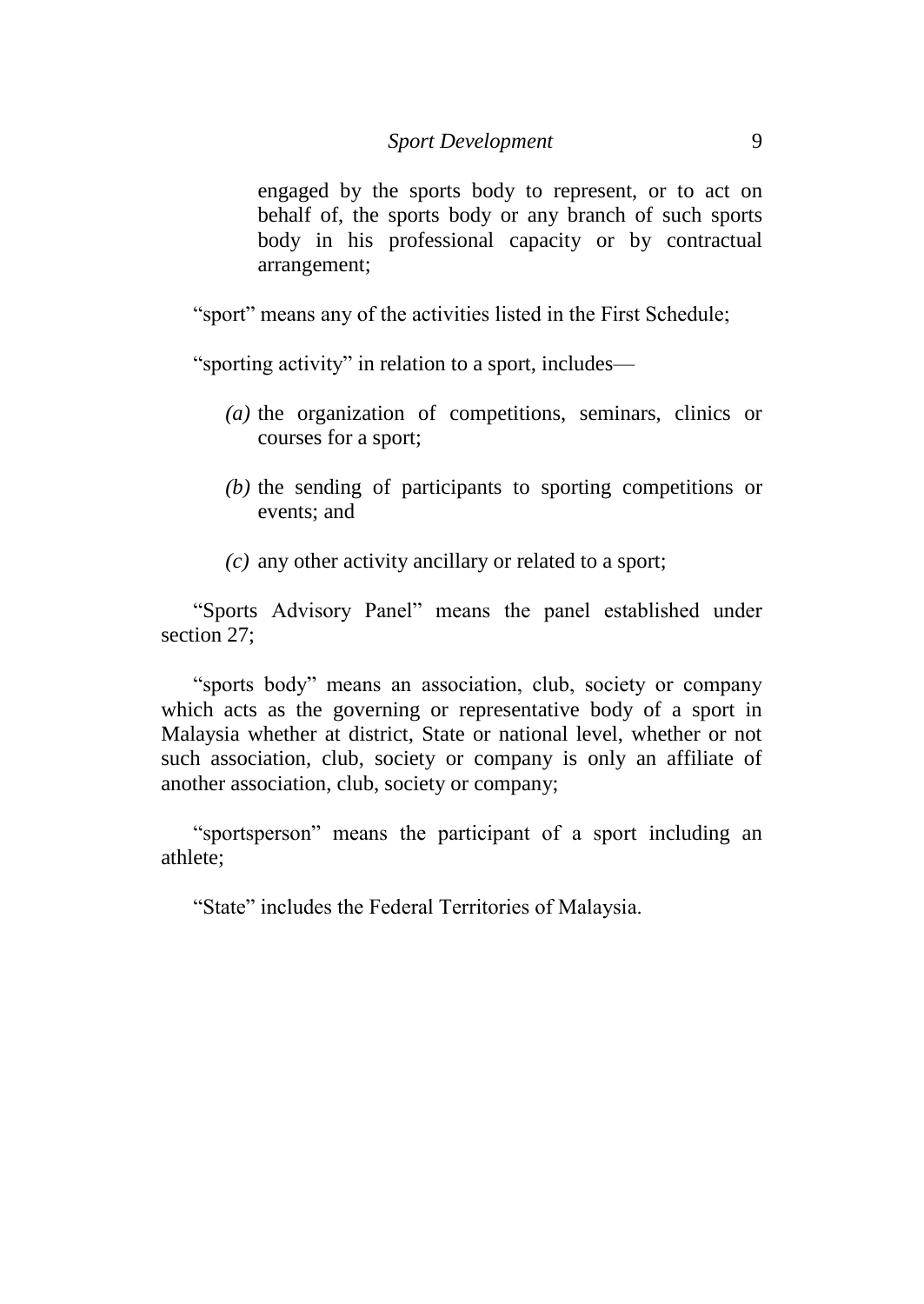engaged by the sports body to represent, or to act on behalf of, the sports body or any branch of such sports body in his professional capacity or by contractual arrangement;

"sport" means any of the activities listed in the First Schedule;

"sporting activity" in relation to a sport, includes—

- *(a)* the organization of competitions, seminars, clinics or courses for a sport;
- *(b)* the sending of participants to sporting competitions or events; and
- *(c)* any other activity ancillary or related to a sport;

"Sports Advisory Panel" means the panel established under section 27;

"sports body" means an association, club, society or company which acts as the governing or representative body of a sport in Malaysia whether at district, State or national level, whether or not such association, club, society or company is only an affiliate of another association, club, society or company;

"sportsperson" means the participant of a sport including an athlete;

"State" includes the Federal Territories of Malaysia.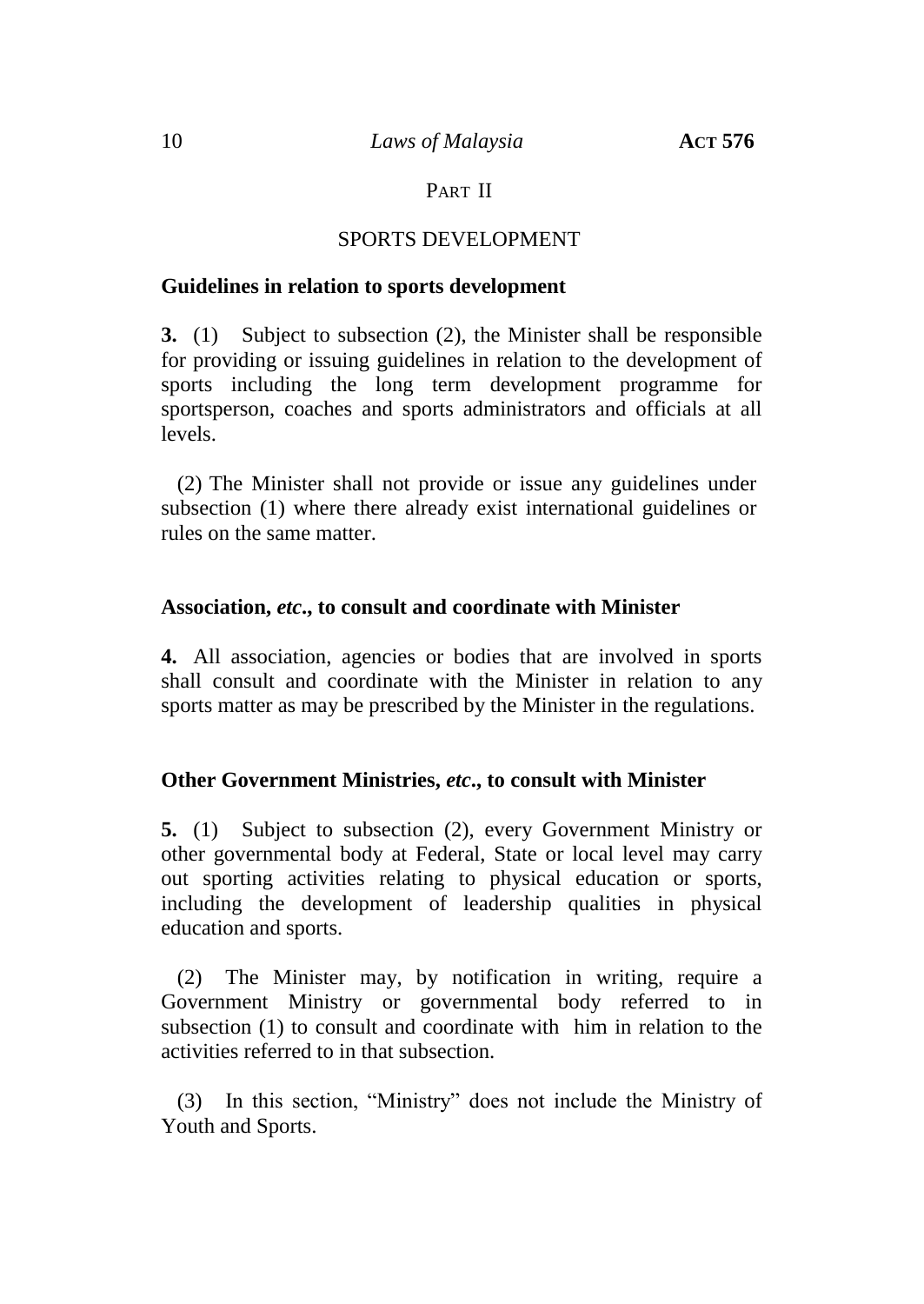## PART II

#### SPORTS DEVELOPMENT

#### **Guidelines in relation to sports development**

**3.** (1) Subject to subsection (2), the Minister shall be responsible for providing or issuing guidelines in relation to the development of sports including the long term development programme for sportsperson, coaches and sports administrators and officials at all levels.

(2) The Minister shall not provide or issue any guidelines under subsection (1) where there already exist international guidelines or rules on the same matter.

#### **Association,** *etc***., to consult and coordinate with Minister**

**4.** All association, agencies or bodies that are involved in sports shall consult and coordinate with the Minister in relation to any sports matter as may be prescribed by the Minister in the regulations.

## **Other Government Ministries,** *etc***., to consult with Minister**

**5.** (1) Subject to subsection (2), every Government Ministry or other governmental body at Federal, State or local level may carry out sporting activities relating to physical education or sports, including the development of leadership qualities in physical education and sports.

(2) The Minister may, by notification in writing, require a Government Ministry or governmental body referred to in subsection (1) to consult and coordinate with him in relation to the activities referred to in that subsection.

(3) In this section, "Ministry" does not include the Ministry of Youth and Sports.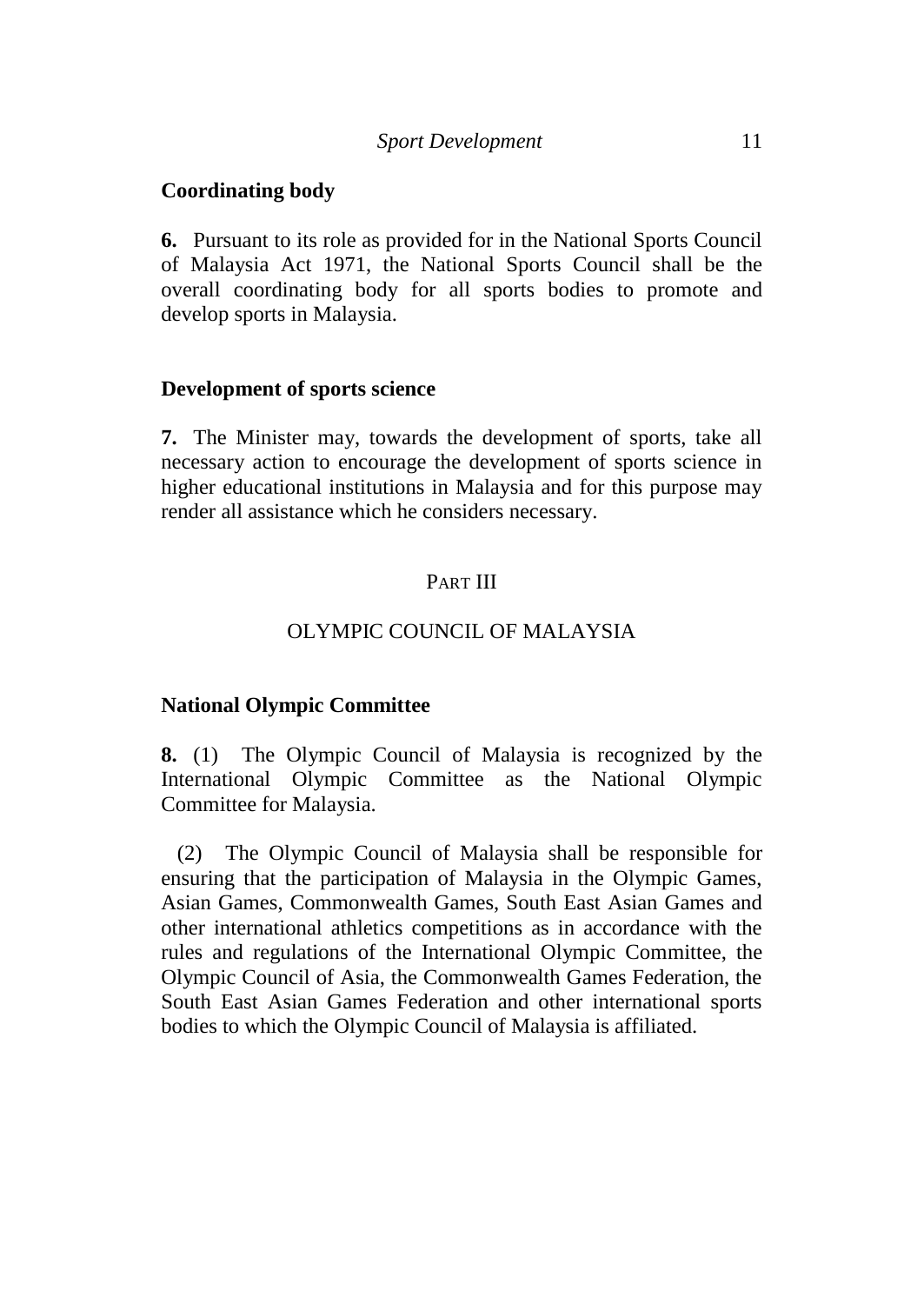#### **Coordinating body**

**6.** Pursuant to its role as provided for in the National Sports Council of Malaysia Act 1971, the National Sports Council shall be the overall coordinating body for all sports bodies to promote and develop sports in Malaysia.

#### **Development of sports science**

**7.** The Minister may, towards the development of sports, take all necessary action to encourage the development of sports science in higher educational institutions in Malaysia and for this purpose may render all assistance which he considers necessary.

# PART III

#### OLYMPIC COUNCIL OF MALAYSIA

#### **National Olympic Committee**

**8.** (1) The Olympic Council of Malaysia is recognized by the International Olympic Committee as the National Olympic Committee for Malaysia.

(2) The Olympic Council of Malaysia shall be responsible for ensuring that the participation of Malaysia in the Olympic Games, Asian Games, Commonwealth Games, South East Asian Games and other international athletics competitions as in accordance with the rules and regulations of the International Olympic Committee, the Olympic Council of Asia, the Commonwealth Games Federation, the South East Asian Games Federation and other international sports bodies to which the Olympic Council of Malaysia is affiliated.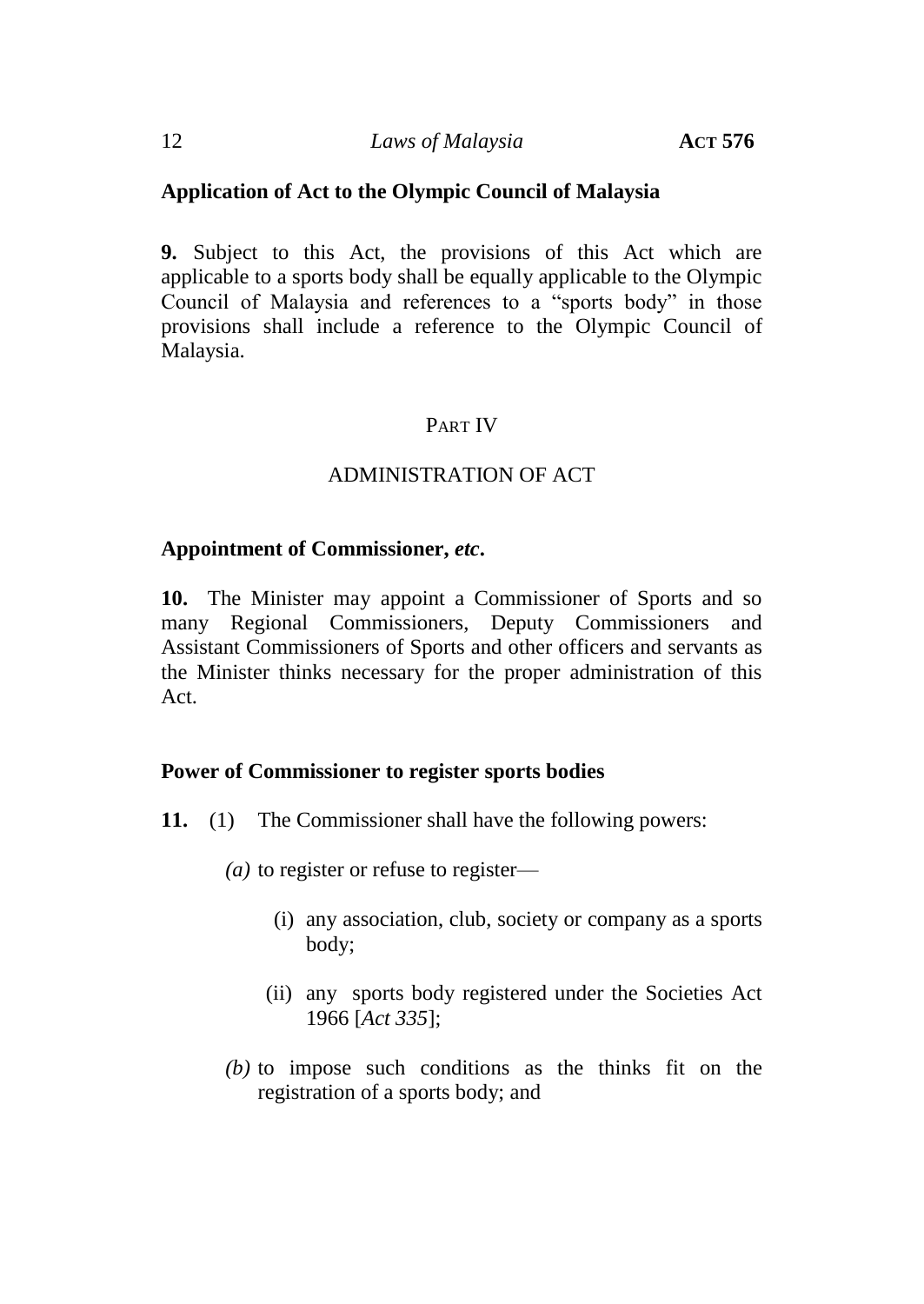## **Application of Act to the Olympic Council of Malaysia**

**9.** Subject to this Act, the provisions of this Act which are applicable to a sports body shall be equally applicable to the Olympic Council of Malaysia and references to a "sports body" in those provisions shall include a reference to the Olympic Council of Malaysia.

# PART IV

# ADMINISTRATION OF ACT

## **Appointment of Commissioner,** *etc***.**

**10.** The Minister may appoint a Commissioner of Sports and so many Regional Commissioners, Deputy Commissioners and Assistant Commissioners of Sports and other officers and servants as the Minister thinks necessary for the proper administration of this Act.

## **Power of Commissioner to register sports bodies**

- **11.** (1) The Commissioner shall have the following powers:
	- *(a)* to register or refuse to register—
		- (i) any association, club, society or company as a sports body;
		- (ii) any sports body registered under the Societies Act 1966 [*Act 335*];
	- *(b)* to impose such conditions as the thinks fit on the registration of a sports body; and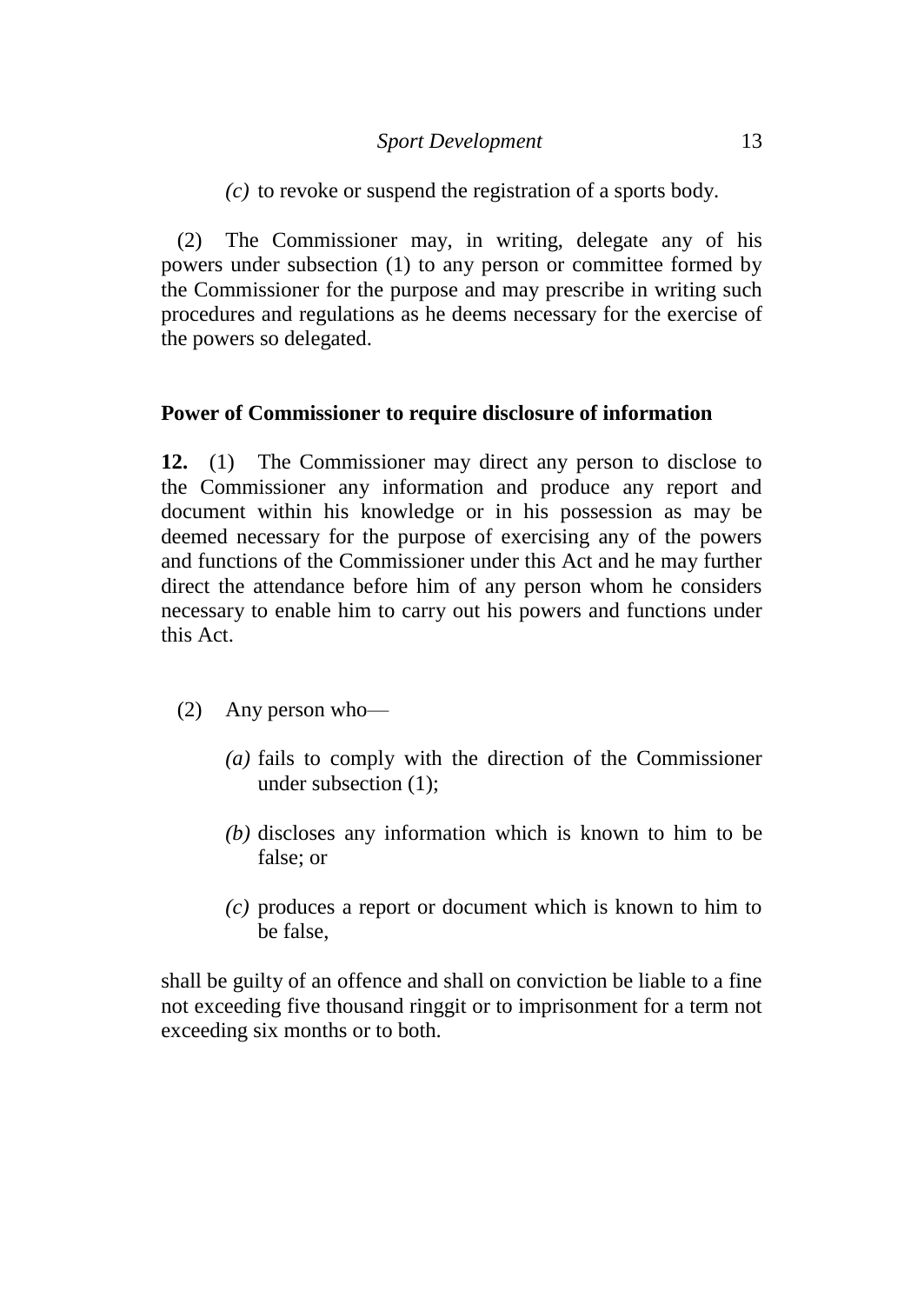*(c)* to revoke or suspend the registration of a sports body.

(2) The Commissioner may, in writing, delegate any of his powers under subsection (1) to any person or committee formed by the Commissioner for the purpose and may prescribe in writing such procedures and regulations as he deems necessary for the exercise of the powers so delegated.

## **Power of Commissioner to require disclosure of information**

**12.** (1) The Commissioner may direct any person to disclose to the Commissioner any information and produce any report and document within his knowledge or in his possession as may be deemed necessary for the purpose of exercising any of the powers and functions of the Commissioner under this Act and he may further direct the attendance before him of any person whom he considers necessary to enable him to carry out his powers and functions under this Act.

- (2) Any person who—
	- *(a)* fails to comply with the direction of the Commissioner under subsection (1);
	- *(b)* discloses any information which is known to him to be false; or
	- *(c)* produces a report or document which is known to him to be false,

shall be guilty of an offence and shall on conviction be liable to a fine not exceeding five thousand ringgit or to imprisonment for a term not exceeding six months or to both.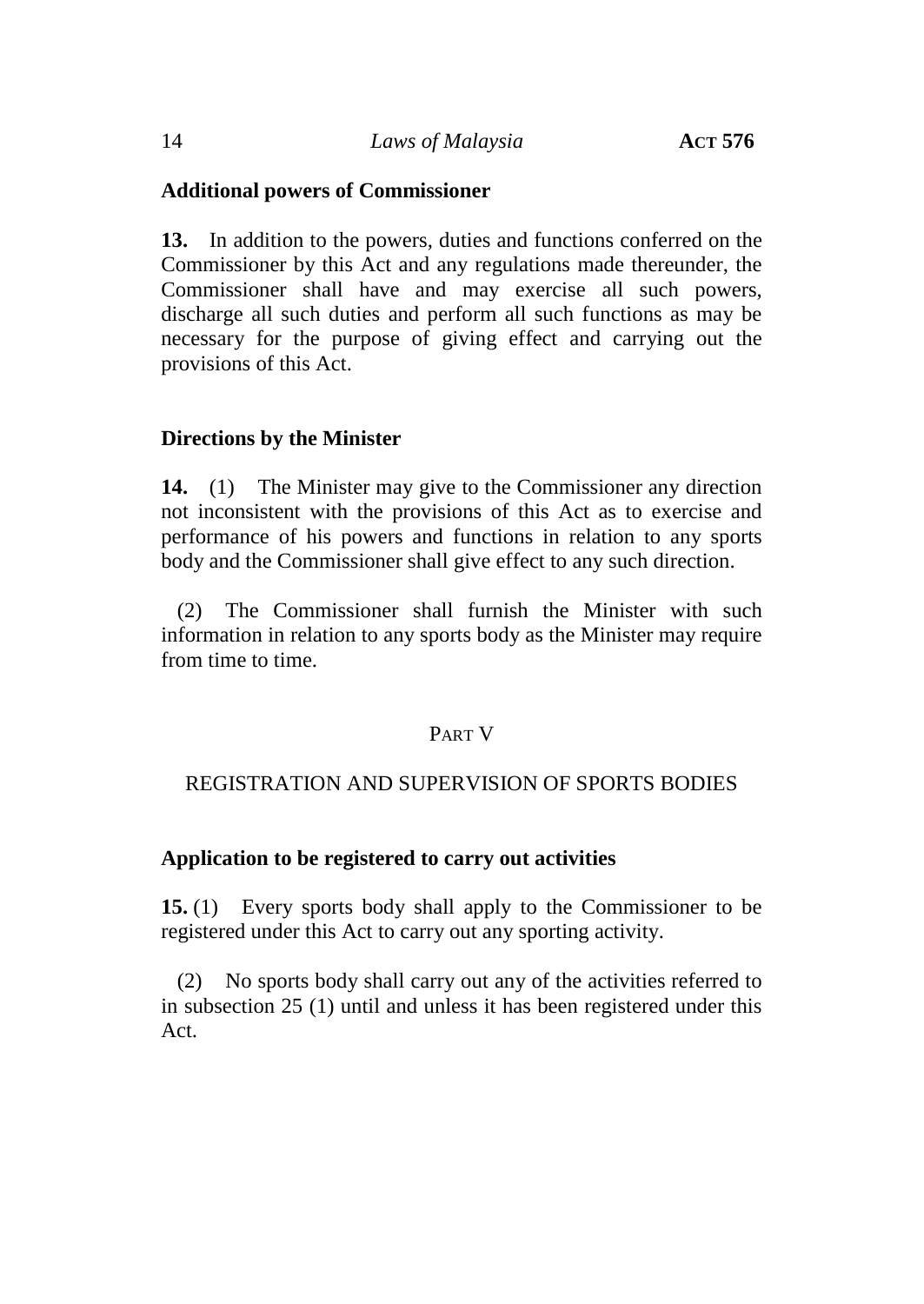## **Additional powers of Commissioner**

**13.** In addition to the powers, duties and functions conferred on the Commissioner by this Act and any regulations made thereunder, the Commissioner shall have and may exercise all such powers, discharge all such duties and perform all such functions as may be necessary for the purpose of giving effect and carrying out the provisions of this Act.

## **Directions by the Minister**

**14.** (1) The Minister may give to the Commissioner any direction not inconsistent with the provisions of this Act as to exercise and performance of his powers and functions in relation to any sports body and the Commissioner shall give effect to any such direction.

(2) The Commissioner shall furnish the Minister with such information in relation to any sports body as the Minister may require from time to time.

## PART V

## REGISTRATION AND SUPERVISION OF SPORTS BODIES

## **Application to be registered to carry out activities**

**15.** (1) Every sports body shall apply to the Commissioner to be registered under this Act to carry out any sporting activity.

(2) No sports body shall carry out any of the activities referred to in subsection 25 (1) until and unless it has been registered under this Act.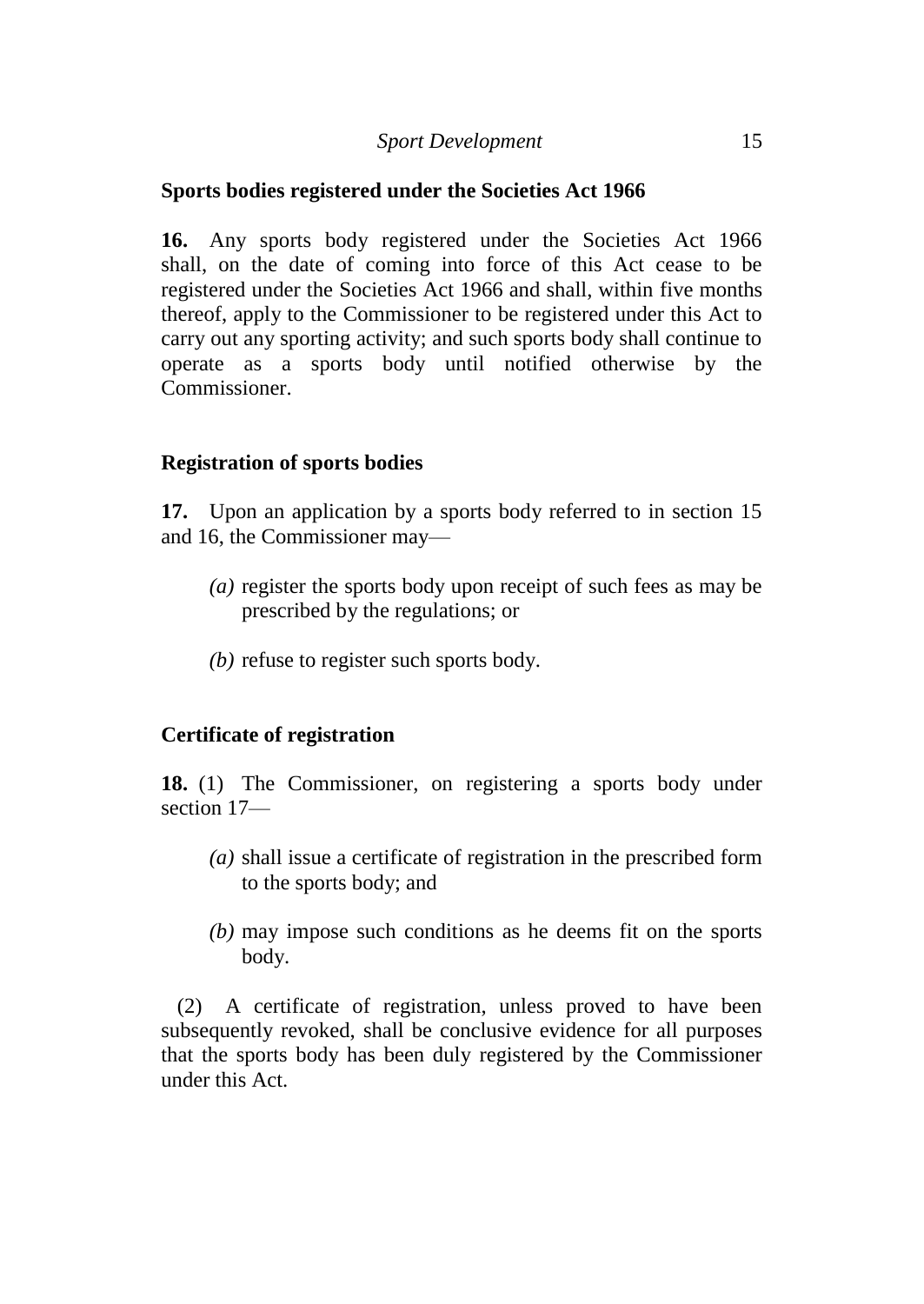## **Sports bodies registered under the Societies Act 1966**

**16.** Any sports body registered under the Societies Act 1966 shall, on the date of coming into force of this Act cease to be registered under the Societies Act 1966 and shall, within five months thereof, apply to the Commissioner to be registered under this Act to carry out any sporting activity; and such sports body shall continue to operate as a sports body until notified otherwise by the Commissioner.

## **Registration of sports bodies**

**17.** Upon an application by a sports body referred to in section 15 and 16, the Commissioner may—

- *(a)* register the sports body upon receipt of such fees as may be prescribed by the regulations; or
- *(b)* refuse to register such sports body.

## **Certificate of registration**

**18.** (1) The Commissioner, on registering a sports body under section 17—

- *(a)* shall issue a certificate of registration in the prescribed form to the sports body; and
- *(b)* may impose such conditions as he deems fit on the sports body.

(2) A certificate of registration, unless proved to have been subsequently revoked, shall be conclusive evidence for all purposes that the sports body has been duly registered by the Commissioner under this Act.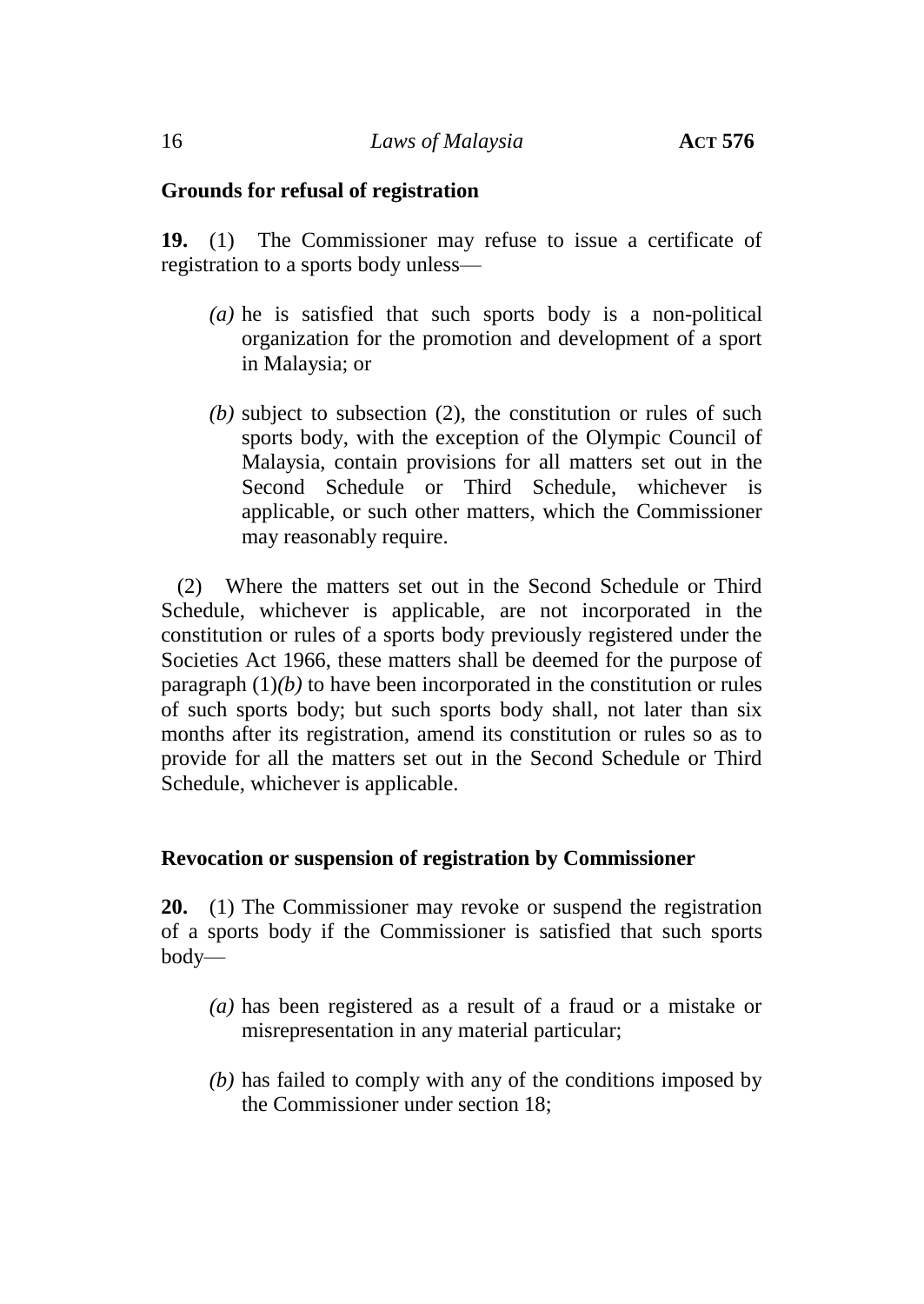#### **Grounds for refusal of registration**

**19.** (1) The Commissioner may refuse to issue a certificate of registration to a sports body unless—

- *(a)* he is satisfied that such sports body is a non-political organization for the promotion and development of a sport in Malaysia; or
- *(b)* subject to subsection (2), the constitution or rules of such sports body, with the exception of the Olympic Council of Malaysia, contain provisions for all matters set out in the Second Schedule or Third Schedule, whichever is applicable, or such other matters, which the Commissioner may reasonably require.

(2) Where the matters set out in the Second Schedule or Third Schedule, whichever is applicable, are not incorporated in the constitution or rules of a sports body previously registered under the Societies Act 1966, these matters shall be deemed for the purpose of paragraph (1)*(b)* to have been incorporated in the constitution or rules of such sports body; but such sports body shall, not later than six months after its registration, amend its constitution or rules so as to provide for all the matters set out in the Second Schedule or Third Schedule, whichever is applicable.

#### **Revocation or suspension of registration by Commissioner**

**20.** (1) The Commissioner may revoke or suspend the registration of a sports body if the Commissioner is satisfied that such sports body—

- *(a)* has been registered as a result of a fraud or a mistake or misrepresentation in any material particular;
- *(b)* has failed to comply with any of the conditions imposed by the Commissioner under section 18;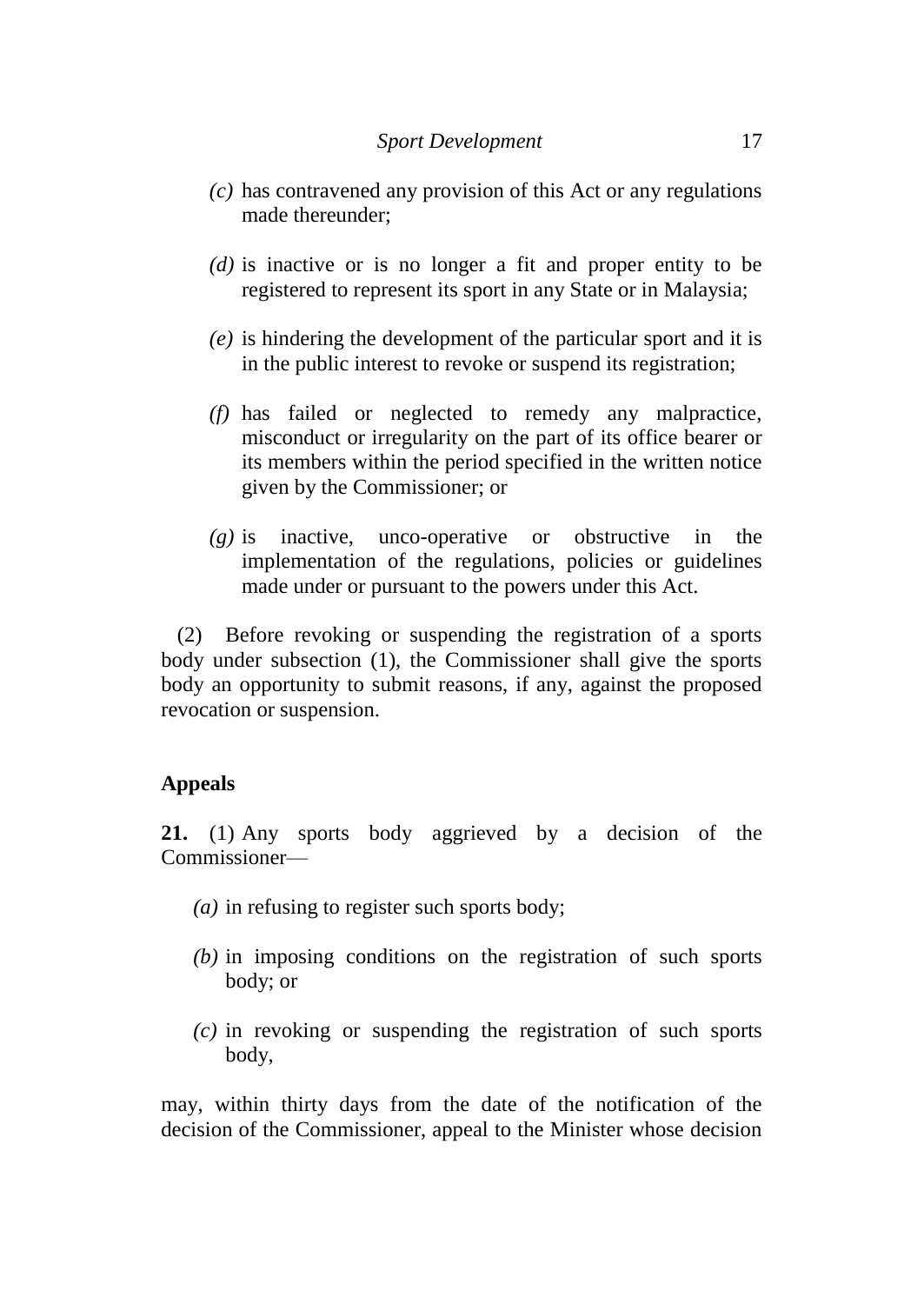- *(c)* has contravened any provision of this Act or any regulations made thereunder;
- *(d)* is inactive or is no longer a fit and proper entity to be registered to represent its sport in any State or in Malaysia;
- *(e)* is hindering the development of the particular sport and it is in the public interest to revoke or suspend its registration;
- *(f)* has failed or neglected to remedy any malpractice, misconduct or irregularity on the part of its office bearer or its members within the period specified in the written notice given by the Commissioner; or
- *(g)* is inactive, unco-operative or obstructive in the implementation of the regulations, policies or guidelines made under or pursuant to the powers under this Act.

(2) Before revoking or suspending the registration of a sports body under subsection (1), the Commissioner shall give the sports body an opportunity to submit reasons, if any, against the proposed revocation or suspension.

## **Appeals**

**21.** (1) Any sports body aggrieved by a decision of the Commissioner—

- *(a)* in refusing to register such sports body;
- *(b)* in imposing conditions on the registration of such sports body; or
- *(c)* in revoking or suspending the registration of such sports body,

may, within thirty days from the date of the notification of the decision of the Commissioner, appeal to the Minister whose decision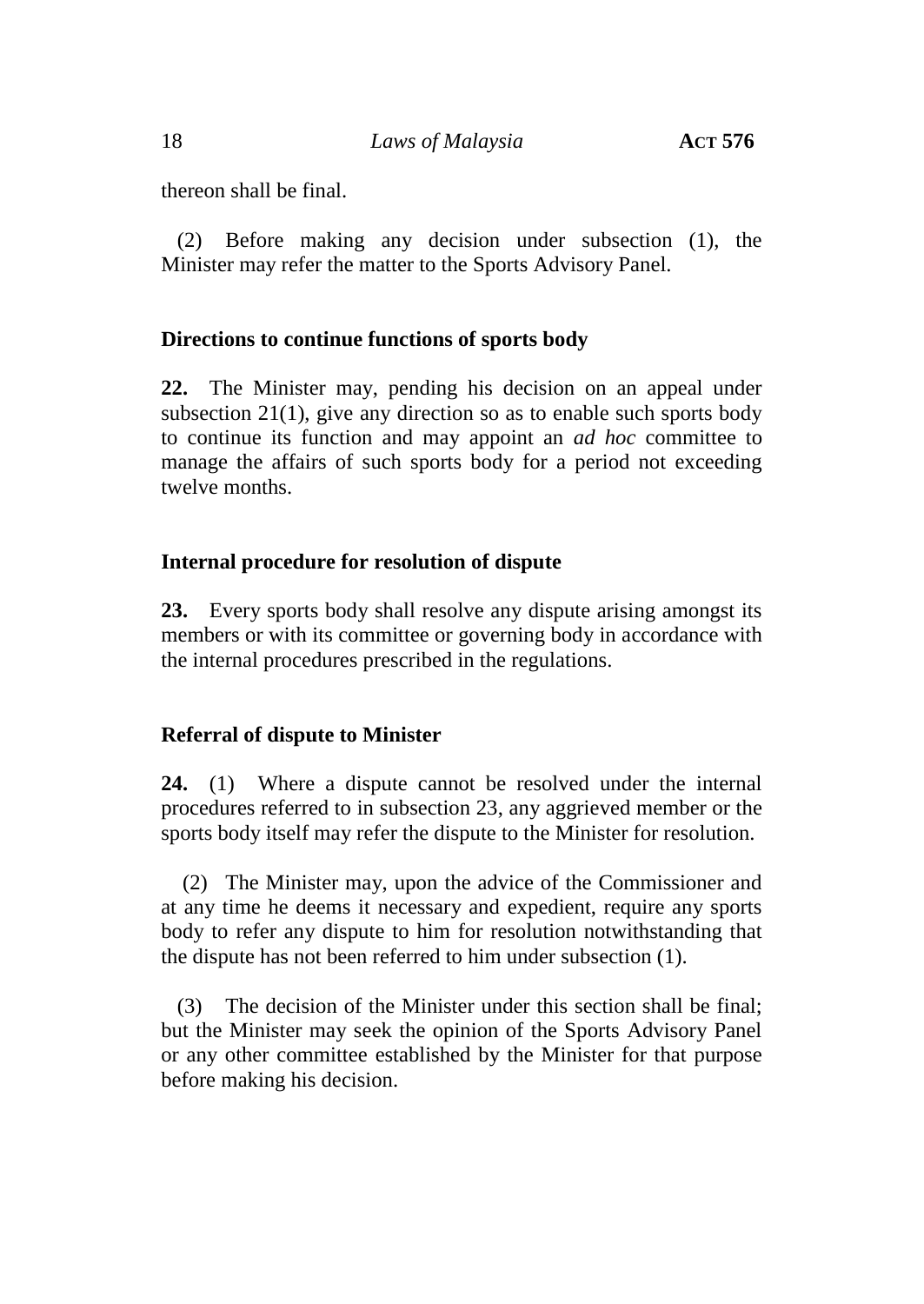thereon shall be final.

(2) Before making any decision under subsection (1), the Minister may refer the matter to the Sports Advisory Panel.

# **Directions to continue functions of sports body**

**22.** The Minister may, pending his decision on an appeal under subsection 21(1), give any direction so as to enable such sports body to continue its function and may appoint an *ad hoc* committee to manage the affairs of such sports body for a period not exceeding twelve months.

# **Internal procedure for resolution of dispute**

**23.** Every sports body shall resolve any dispute arising amongst its members or with its committee or governing body in accordance with the internal procedures prescribed in the regulations.

# **Referral of dispute to Minister**

**24.** (1) Where a dispute cannot be resolved under the internal procedures referred to in subsection 23, any aggrieved member or the sports body itself may refer the dispute to the Minister for resolution.

(2) The Minister may, upon the advice of the Commissioner and at any time he deems it necessary and expedient, require any sports body to refer any dispute to him for resolution notwithstanding that the dispute has not been referred to him under subsection (1).

(3) The decision of the Minister under this section shall be final; but the Minister may seek the opinion of the Sports Advisory Panel or any other committee established by the Minister for that purpose before making his decision.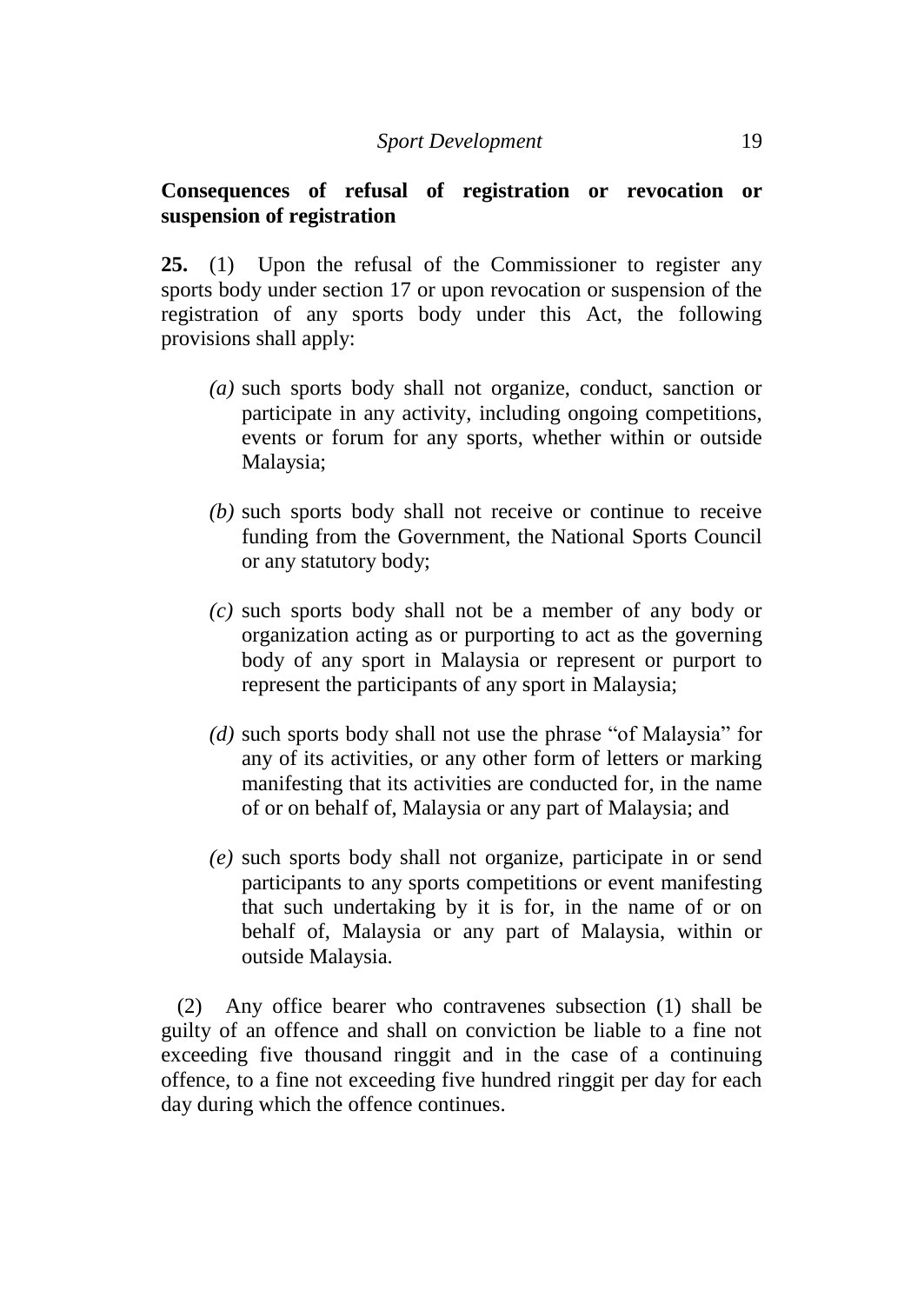## **Consequences of refusal of registration or revocation or suspension of registration**

**25.** (1) Upon the refusal of the Commissioner to register any sports body under section 17 or upon revocation or suspension of the registration of any sports body under this Act, the following provisions shall apply:

- *(a)* such sports body shall not organize, conduct, sanction or participate in any activity, including ongoing competitions, events or forum for any sports, whether within or outside Malaysia;
- *(b)* such sports body shall not receive or continue to receive funding from the Government, the National Sports Council or any statutory body;
- *(c)* such sports body shall not be a member of any body or organization acting as or purporting to act as the governing body of any sport in Malaysia or represent or purport to represent the participants of any sport in Malaysia;
- *(d)* such sports body shall not use the phrase "of Malaysia" for any of its activities, or any other form of letters or marking manifesting that its activities are conducted for, in the name of or on behalf of, Malaysia or any part of Malaysia; and
- *(e)* such sports body shall not organize, participate in or send participants to any sports competitions or event manifesting that such undertaking by it is for, in the name of or on behalf of, Malaysia or any part of Malaysia, within or outside Malaysia.

(2) Any office bearer who contravenes subsection (1) shall be guilty of an offence and shall on conviction be liable to a fine not exceeding five thousand ringgit and in the case of a continuing offence, to a fine not exceeding five hundred ringgit per day for each day during which the offence continues.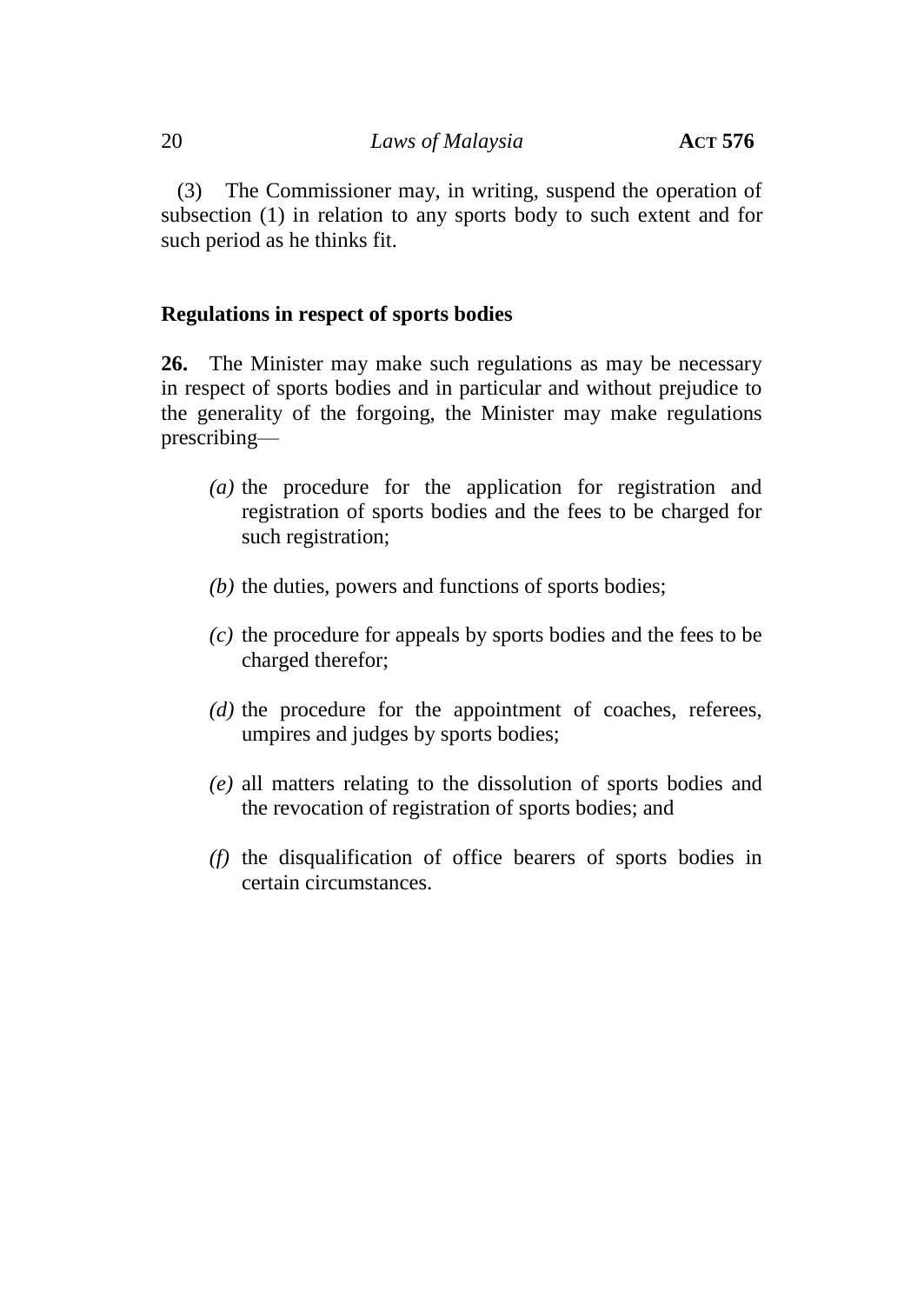(3) The Commissioner may, in writing, suspend the operation of subsection (1) in relation to any sports body to such extent and for such period as he thinks fit.

## **Regulations in respect of sports bodies**

**26.** The Minister may make such regulations as may be necessary in respect of sports bodies and in particular and without prejudice to the generality of the forgoing, the Minister may make regulations prescribing—

- *(a)* the procedure for the application for registration and registration of sports bodies and the fees to be charged for such registration;
- *(b)* the duties, powers and functions of sports bodies;
- *(c)* the procedure for appeals by sports bodies and the fees to be charged therefor;
- *(d)* the procedure for the appointment of coaches, referees, umpires and judges by sports bodies;
- *(e)* all matters relating to the dissolution of sports bodies and the revocation of registration of sports bodies; and
- *(f)* the disqualification of office bearers of sports bodies in certain circumstances.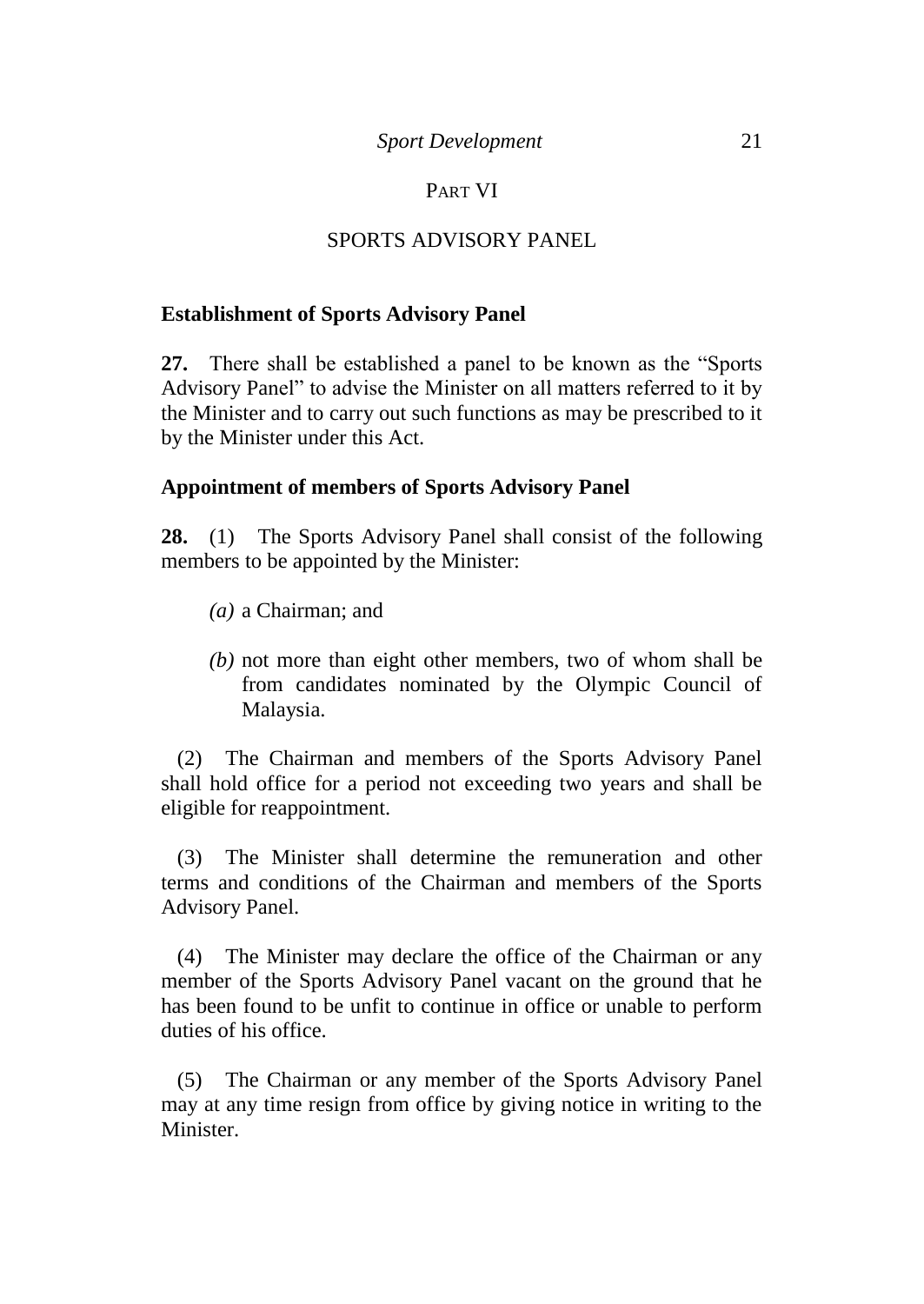## PART VI

# SPORTS ADVISORY PANEL

## **Establishment of Sports Advisory Panel**

**27.** There shall be established a panel to be known as the "Sports Advisory Panel" to advise the Minister on all matters referred to it by the Minister and to carry out such functions as may be prescribed to it by the Minister under this Act.

## **Appointment of members of Sports Advisory Panel**

**28.** (1) The Sports Advisory Panel shall consist of the following members to be appointed by the Minister:

- *(a)* a Chairman; and
- *(b)* not more than eight other members, two of whom shall be from candidates nominated by the Olympic Council of Malaysia.

(2) The Chairman and members of the Sports Advisory Panel shall hold office for a period not exceeding two years and shall be eligible for reappointment.

(3) The Minister shall determine the remuneration and other terms and conditions of the Chairman and members of the Sports Advisory Panel.

(4) The Minister may declare the office of the Chairman or any member of the Sports Advisory Panel vacant on the ground that he has been found to be unfit to continue in office or unable to perform duties of his office.

(5) The Chairman or any member of the Sports Advisory Panel may at any time resign from office by giving notice in writing to the Minister.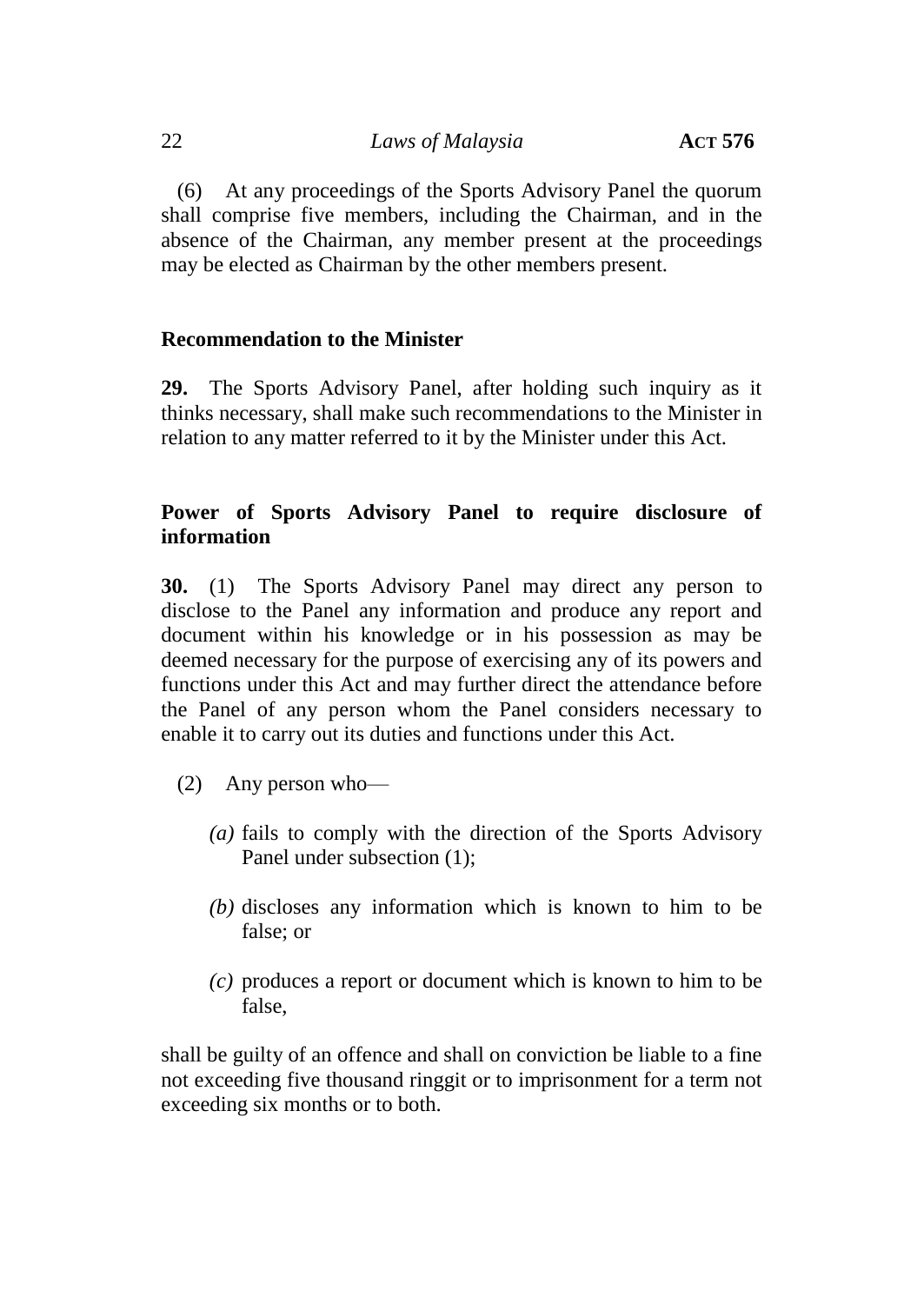(6) At any proceedings of the Sports Advisory Panel the quorum shall comprise five members, including the Chairman, and in the absence of the Chairman, any member present at the proceedings may be elected as Chairman by the other members present.

# **Recommendation to the Minister**

**29.** The Sports Advisory Panel, after holding such inquiry as it thinks necessary, shall make such recommendations to the Minister in relation to any matter referred to it by the Minister under this Act.

# **Power of Sports Advisory Panel to require disclosure of information**

**30.** (1) The Sports Advisory Panel may direct any person to disclose to the Panel any information and produce any report and document within his knowledge or in his possession as may be deemed necessary for the purpose of exercising any of its powers and functions under this Act and may further direct the attendance before the Panel of any person whom the Panel considers necessary to enable it to carry out its duties and functions under this Act.

- (2) Any person who—
	- *(a)* fails to comply with the direction of the Sports Advisory Panel under subsection (1);
	- *(b)* discloses any information which is known to him to be false; or
	- *(c)* produces a report or document which is known to him to be false,

shall be guilty of an offence and shall on conviction be liable to a fine not exceeding five thousand ringgit or to imprisonment for a term not exceeding six months or to both.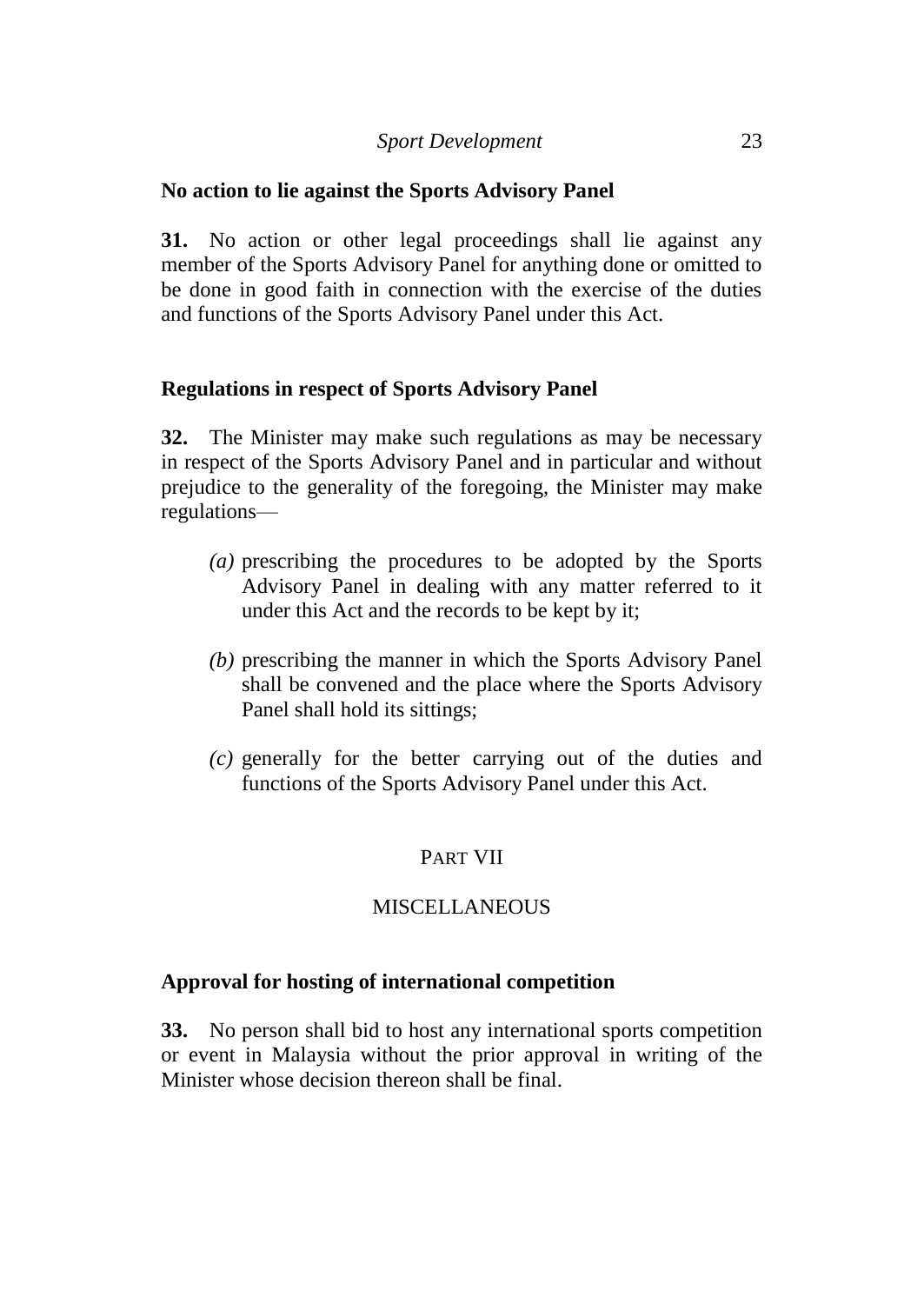## **No action to lie against the Sports Advisory Panel**

**31.** No action or other legal proceedings shall lie against any member of the Sports Advisory Panel for anything done or omitted to be done in good faith in connection with the exercise of the duties and functions of the Sports Advisory Panel under this Act.

## **Regulations in respect of Sports Advisory Panel**

**32.** The Minister may make such regulations as may be necessary in respect of the Sports Advisory Panel and in particular and without prejudice to the generality of the foregoing, the Minister may make regulations—

- *(a)* prescribing the procedures to be adopted by the Sports Advisory Panel in dealing with any matter referred to it under this Act and the records to be kept by it;
- *(b)* prescribing the manner in which the Sports Advisory Panel shall be convened and the place where the Sports Advisory Panel shall hold its sittings;
- *(c)* generally for the better carrying out of the duties and functions of the Sports Advisory Panel under this Act.

# PART VII

## **MISCELLANEOUS**

## **Approval for hosting of international competition**

**33.** No person shall bid to host any international sports competition or event in Malaysia without the prior approval in writing of the Minister whose decision thereon shall be final.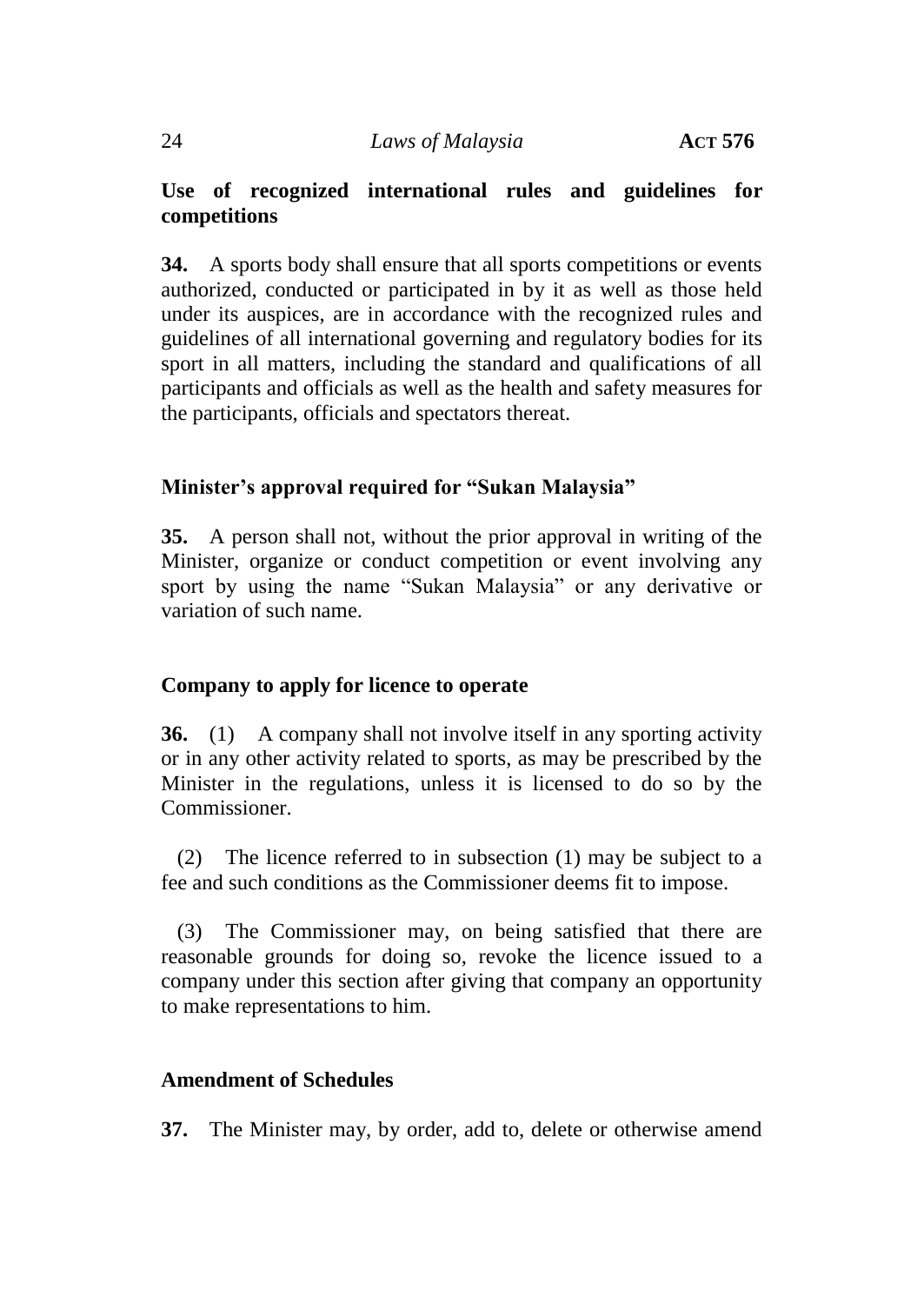# **Use of recognized international rules and guidelines for competitions**

**34.** A sports body shall ensure that all sports competitions or events authorized, conducted or participated in by it as well as those held under its auspices, are in accordance with the recognized rules and guidelines of all international governing and regulatory bodies for its sport in all matters, including the standard and qualifications of all participants and officials as well as the health and safety measures for the participants, officials and spectators thereat.

## **Minister's approval required for "Sukan Malaysia"**

**35.** A person shall not, without the prior approval in writing of the Minister, organize or conduct competition or event involving any sport by using the name "Sukan Malaysia" or any derivative or variation of such name.

## **Company to apply for licence to operate**

**36.** (1) A company shall not involve itself in any sporting activity or in any other activity related to sports, as may be prescribed by the Minister in the regulations, unless it is licensed to do so by the Commissioner.

(2) The licence referred to in subsection (1) may be subject to a fee and such conditions as the Commissioner deems fit to impose.

(3) The Commissioner may, on being satisfied that there are reasonable grounds for doing so, revoke the licence issued to a company under this section after giving that company an opportunity to make representations to him.

## **Amendment of Schedules**

**37.** The Minister may, by order, add to, delete or otherwise amend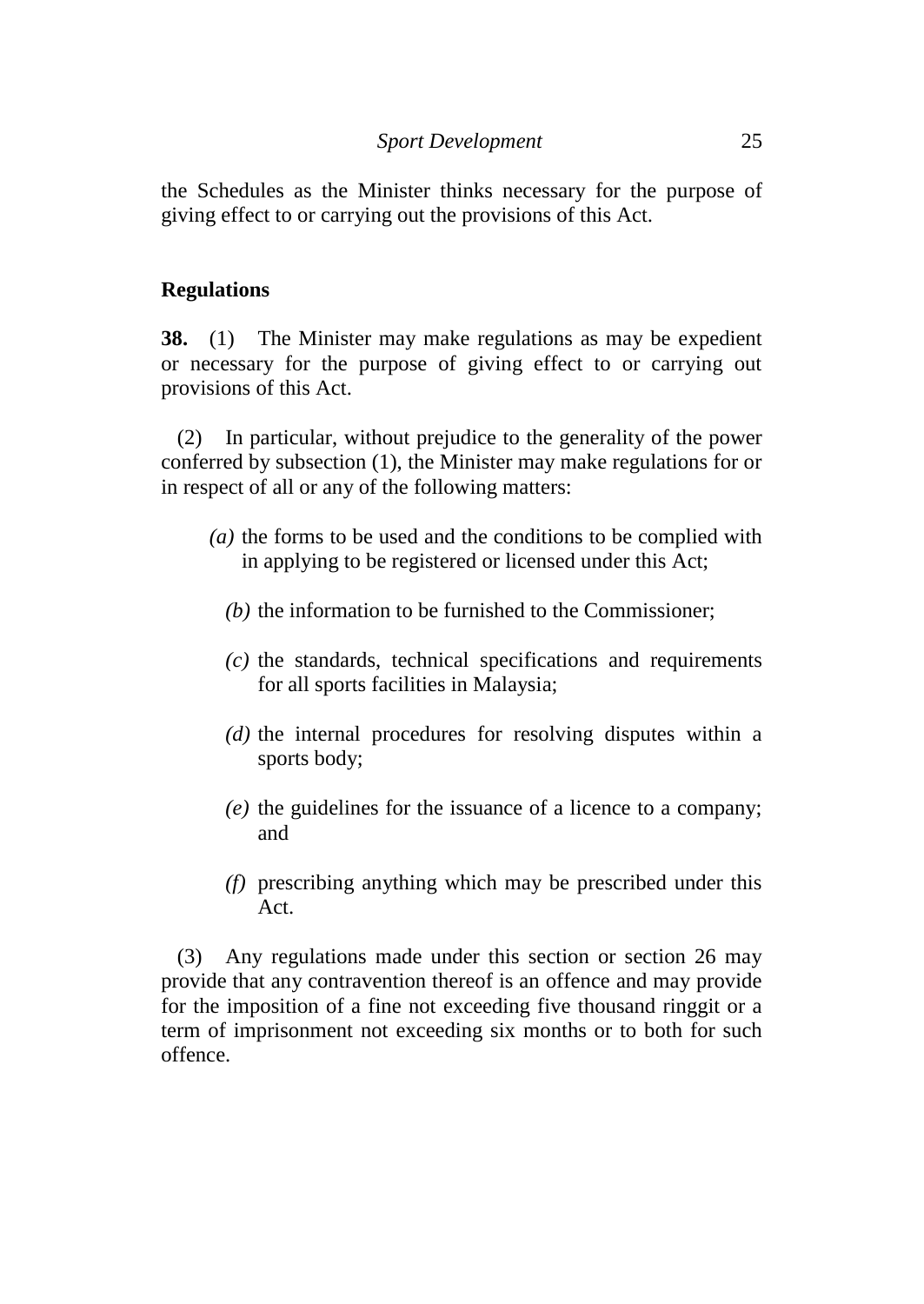the Schedules as the Minister thinks necessary for the purpose of giving effect to or carrying out the provisions of this Act.

#### **Regulations**

**38.** (1) The Minister may make regulations as may be expedient or necessary for the purpose of giving effect to or carrying out provisions of this Act.

(2) In particular, without prejudice to the generality of the power conferred by subsection (1), the Minister may make regulations for or in respect of all or any of the following matters:

- *(a)* the forms to be used and the conditions to be complied with in applying to be registered or licensed under this Act;
	- *(b)* the information to be furnished to the Commissioner;
	- *(c)* the standards, technical specifications and requirements for all sports facilities in Malaysia;
	- *(d)* the internal procedures for resolving disputes within a sports body;
	- *(e)* the guidelines for the issuance of a licence to a company; and
	- *(f)* prescribing anything which may be prescribed under this Act.

(3) Any regulations made under this section or section 26 may provide that any contravention thereof is an offence and may provide for the imposition of a fine not exceeding five thousand ringgit or a term of imprisonment not exceeding six months or to both for such offence.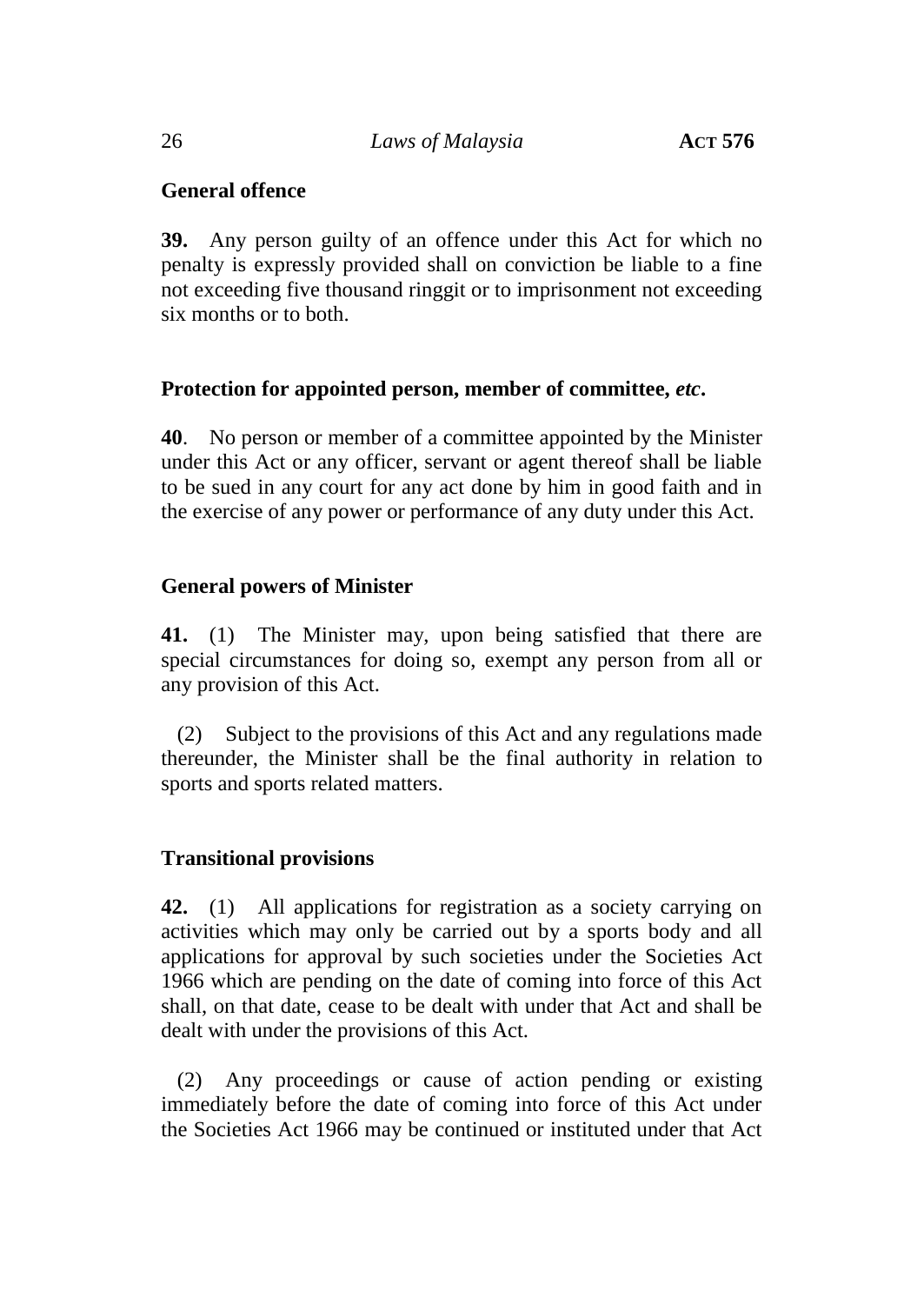#### 26 *Laws of Malaysia* **ACT 576**

# **General offence**

**39.** Any person guilty of an offence under this Act for which no penalty is expressly provided shall on conviction be liable to a fine not exceeding five thousand ringgit or to imprisonment not exceeding six months or to both.

## **Protection for appointed person, member of committee,** *etc***.**

**40**. No person or member of a committee appointed by the Minister under this Act or any officer, servant or agent thereof shall be liable to be sued in any court for any act done by him in good faith and in the exercise of any power or performance of any duty under this Act.

## **General powers of Minister**

**41.** (1) The Minister may, upon being satisfied that there are special circumstances for doing so, exempt any person from all or any provision of this Act.

(2) Subject to the provisions of this Act and any regulations made thereunder, the Minister shall be the final authority in relation to sports and sports related matters.

# **Transitional provisions**

**42.** (1) All applications for registration as a society carrying on activities which may only be carried out by a sports body and all applications for approval by such societies under the Societies Act 1966 which are pending on the date of coming into force of this Act shall, on that date, cease to be dealt with under that Act and shall be dealt with under the provisions of this Act.

(2) Any proceedings or cause of action pending or existing immediately before the date of coming into force of this Act under the Societies Act 1966 may be continued or instituted under that Act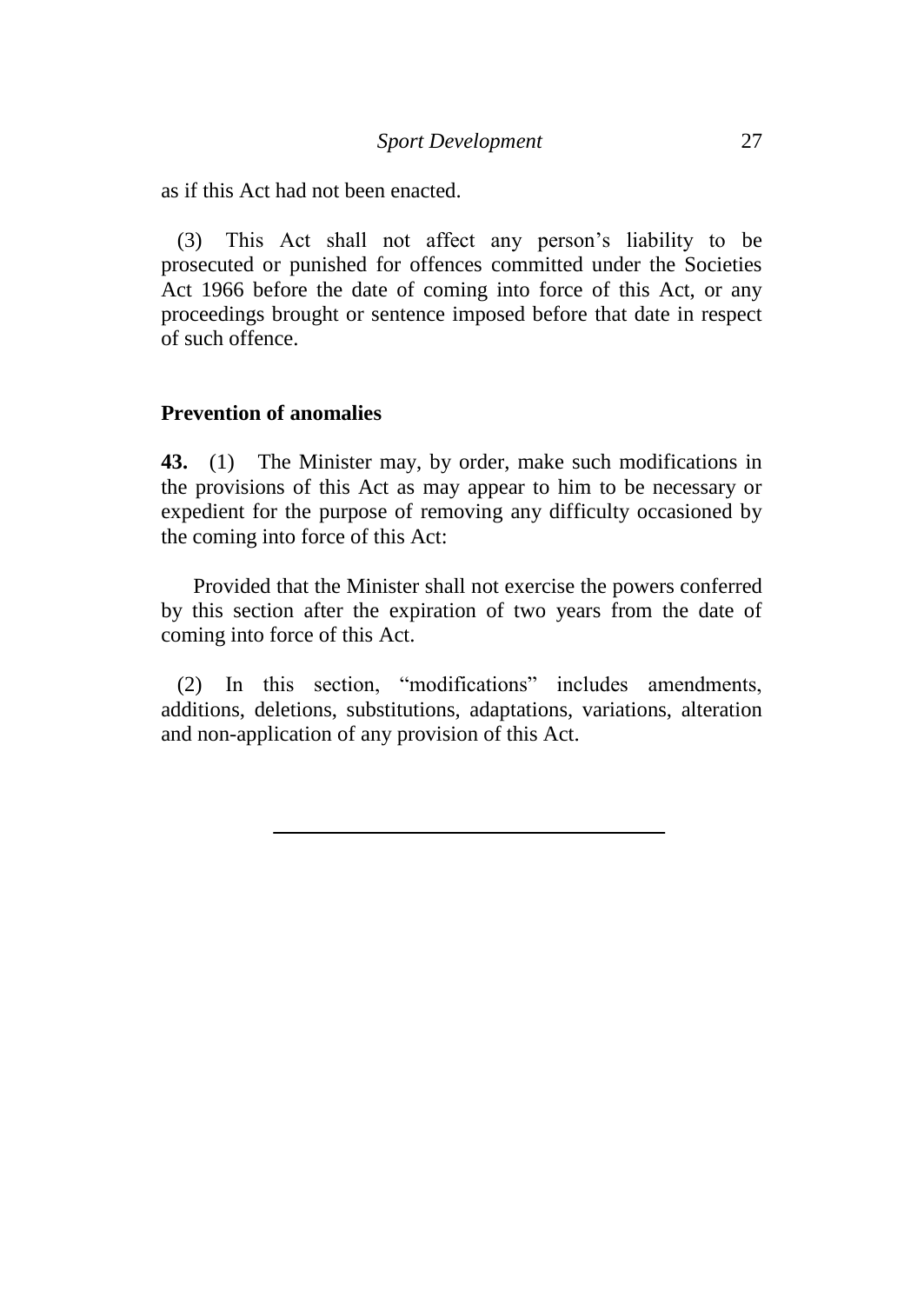as if this Act had not been enacted.

(3) This Act shall not affect any person's liability to be prosecuted or punished for offences committed under the Societies Act 1966 before the date of coming into force of this Act, or any proceedings brought or sentence imposed before that date in respect of such offence.

#### **Prevention of anomalies**

**43.** (1) The Minister may, by order, make such modifications in the provisions of this Act as may appear to him to be necessary or expedient for the purpose of removing any difficulty occasioned by the coming into force of this Act:

Provided that the Minister shall not exercise the powers conferred by this section after the expiration of two years from the date of coming into force of this Act.

(2) In this section, "modifications" includes amendments, additions, deletions, substitutions, adaptations, variations, alteration and non-application of any provision of this Act.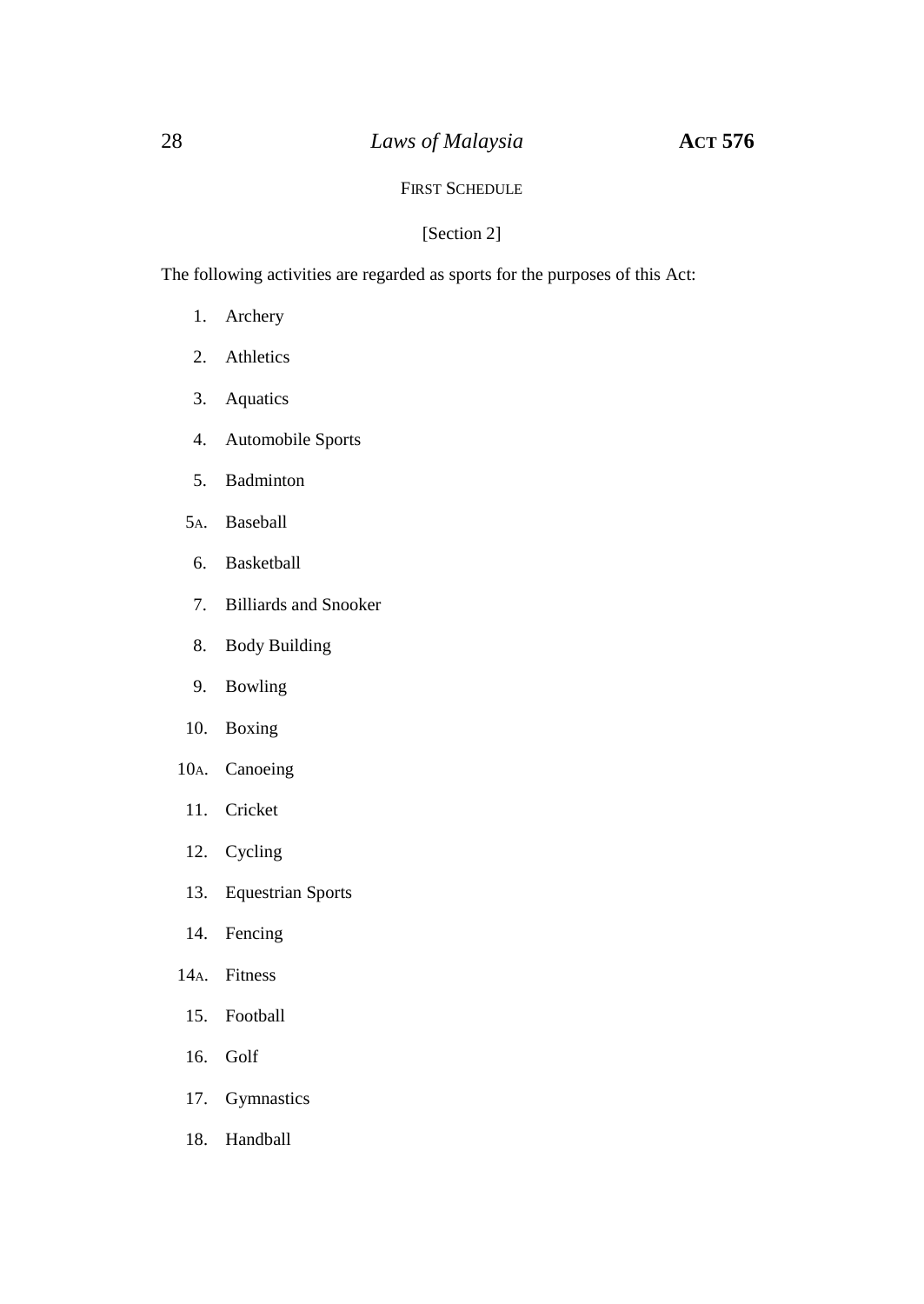#### FIRST SCHEDULE

#### [Section 2]

The following activities are regarded as sports for the purposes of this Act:

- 1. Archery
- 2. Athletics
- 3. Aquatics
- 4. Automobile Sports
- 5. Badminton
- 5A. Baseball
- 6. Basketball
- 7. Billiards and Snooker
- 8. Body Building
- 9. Bowling
- 10. Boxing
- 10A. Canoeing
- 11. Cricket
- 12. Cycling
- 13. Equestrian Sports
- 14. Fencing
- 14A. Fitness
- 15. Football
- 16. Golf
- 17. Gymnastics
- 18. Handball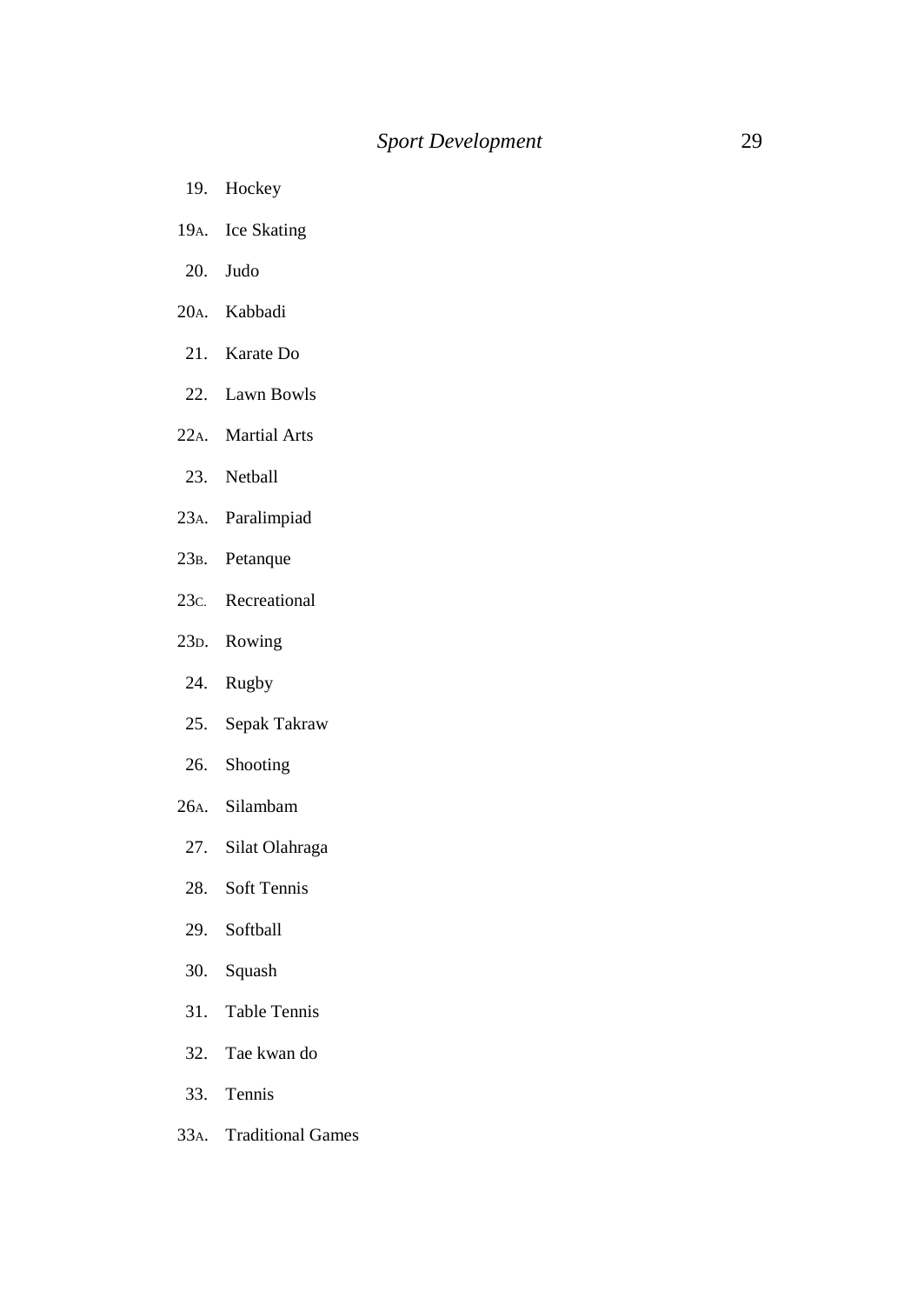- 19. Hockey
- 19A. Ice Skating
- 20. Judo
- 20A. Kabbadi
- 21. Karate Do
- 22. Lawn Bowls
- 22A. Martial Arts
- 23. Netball
- 23A. Paralimpiad
- 23B. Petanque
- 23C. Recreational
- 23D. Rowing
- 24. Rugby
- 25. Sepak Takraw
- 26. Shooting
- 26A. Silambam
- 27. Silat Olahraga
- 28. Soft Tennis
- 29. Softball
- 30. Squash
- 31. Table Tennis
- 32. Tae kwan do
- 33. Tennis
- 33A. Traditional Games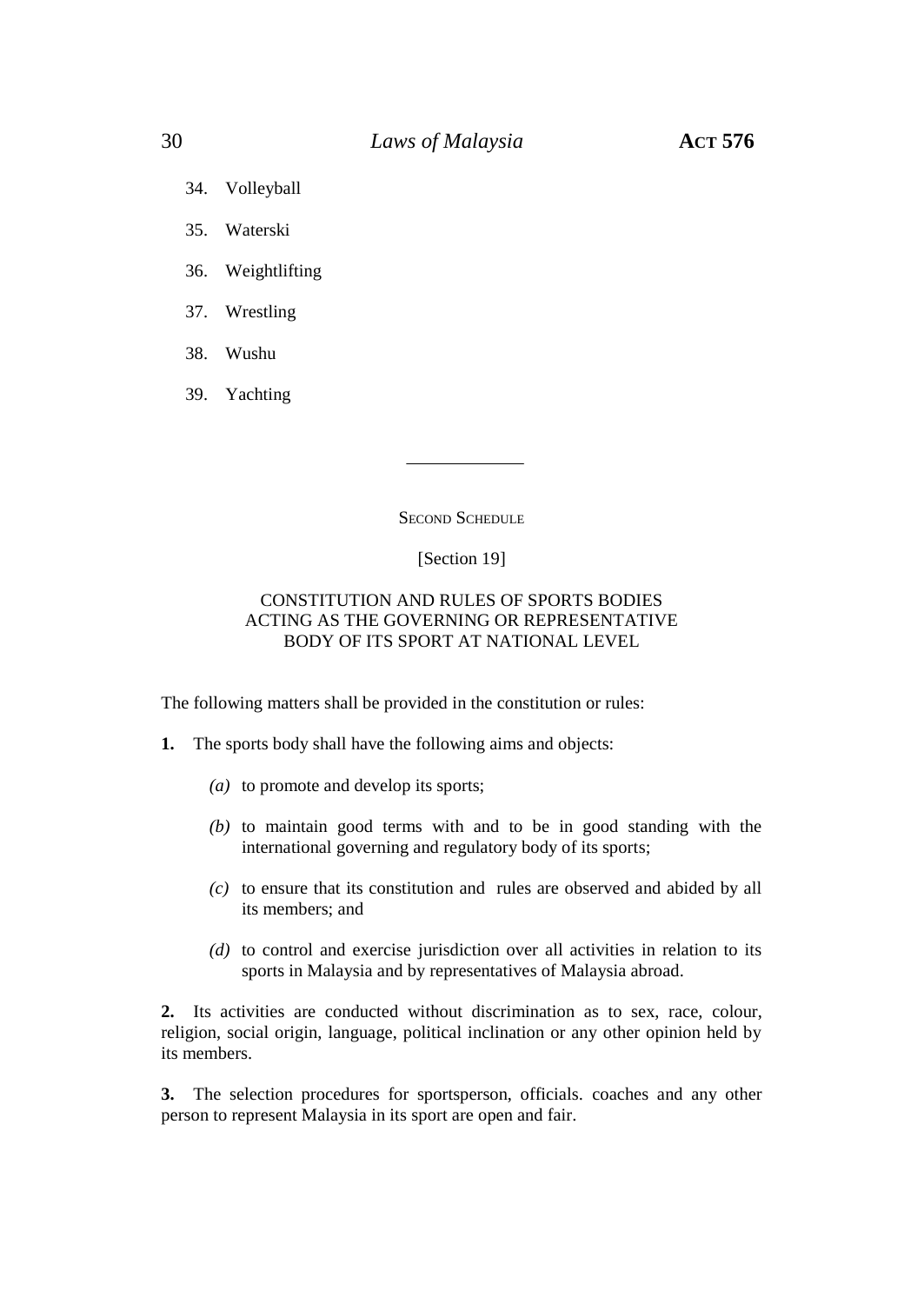- 34. Volleyball
- 35. Waterski
- 36. Weightlifting
- 37. Wrestling
- 38. Wushu
- 39. Yachting

**SECOND SCHEDULE** 

#### [Section 19]

#### CONSTITUTION AND RULES OF SPORTS BODIES ACTING AS THE GOVERNING OR REPRESENTATIVE BODY OF ITS SPORT AT NATIONAL LEVEL

The following matters shall be provided in the constitution or rules:

- **1.** The sports body shall have the following aims and objects:
	- *(a)* to promote and develop its sports;
	- *(b)* to maintain good terms with and to be in good standing with the international governing and regulatory body of its sports;
	- *(c)* to ensure that its constitution and rules are observed and abided by all its members; and
	- *(d)* to control and exercise jurisdiction over all activities in relation to its sports in Malaysia and by representatives of Malaysia abroad.

**2.** Its activities are conducted without discrimination as to sex, race, colour, religion, social origin, language, political inclination or any other opinion held by its members.

**3.** The selection procedures for sportsperson, officials. coaches and any other person to represent Malaysia in its sport are open and fair.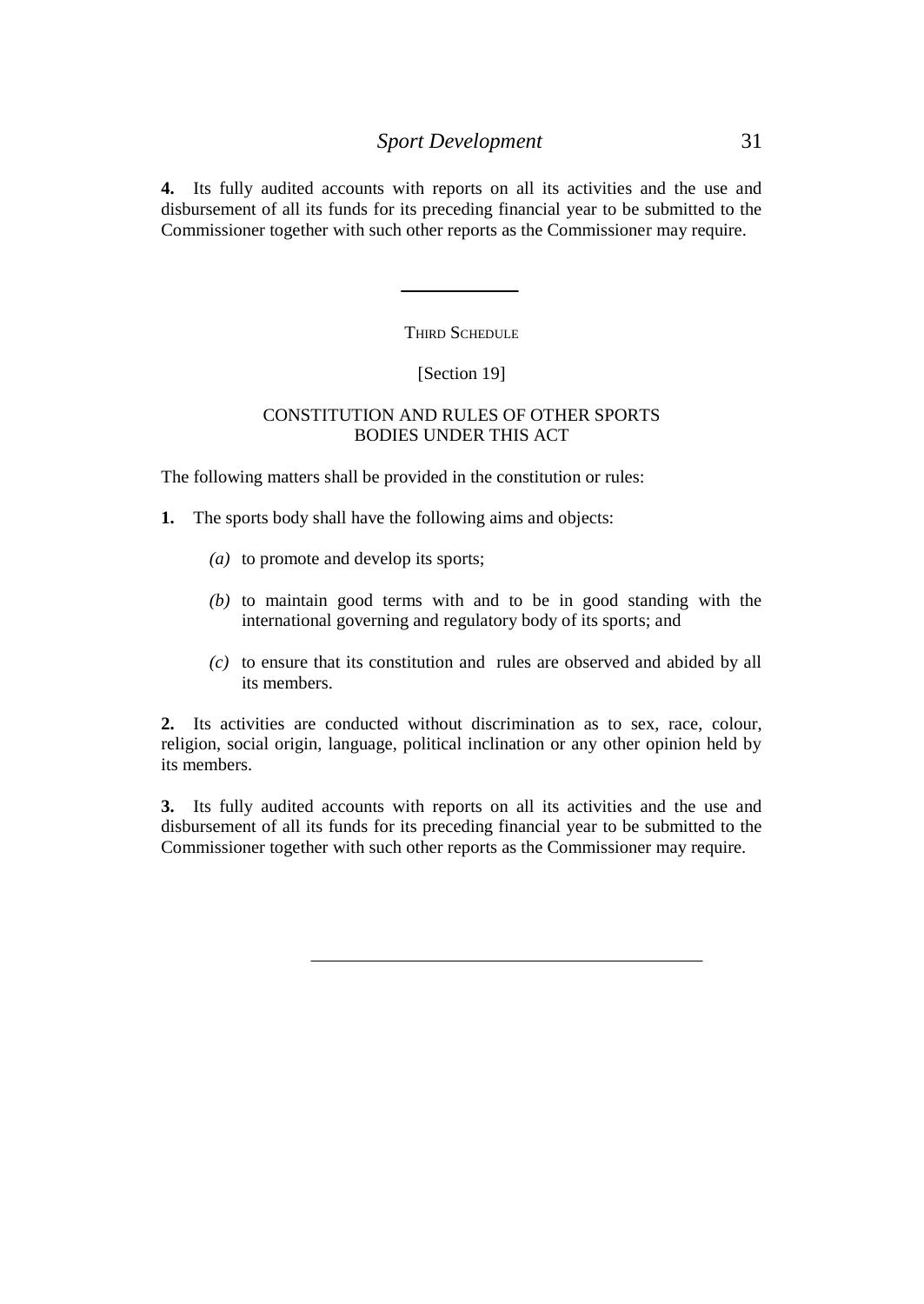**4.** Its fully audited accounts with reports on all its activities and the use and disbursement of all its funds for its preceding financial year to be submitted to the Commissioner together with such other reports as the Commissioner may require.

THIRD SCHEDULE

#### [Section 19]

#### CONSTITUTION AND RULES OF OTHER SPORTS BODIES UNDER THIS ACT

The following matters shall be provided in the constitution or rules:

- **1.** The sports body shall have the following aims and objects:
	- *(a)* to promote and develop its sports;
	- *(b)* to maintain good terms with and to be in good standing with the international governing and regulatory body of its sports; and
	- *(c)* to ensure that its constitution and rules are observed and abided by all its members.

**2.** Its activities are conducted without discrimination as to sex, race, colour, religion, social origin, language, political inclination or any other opinion held by its members.

**3.** Its fully audited accounts with reports on all its activities and the use and disbursement of all its funds for its preceding financial year to be submitted to the Commissioner together with such other reports as the Commissioner may require.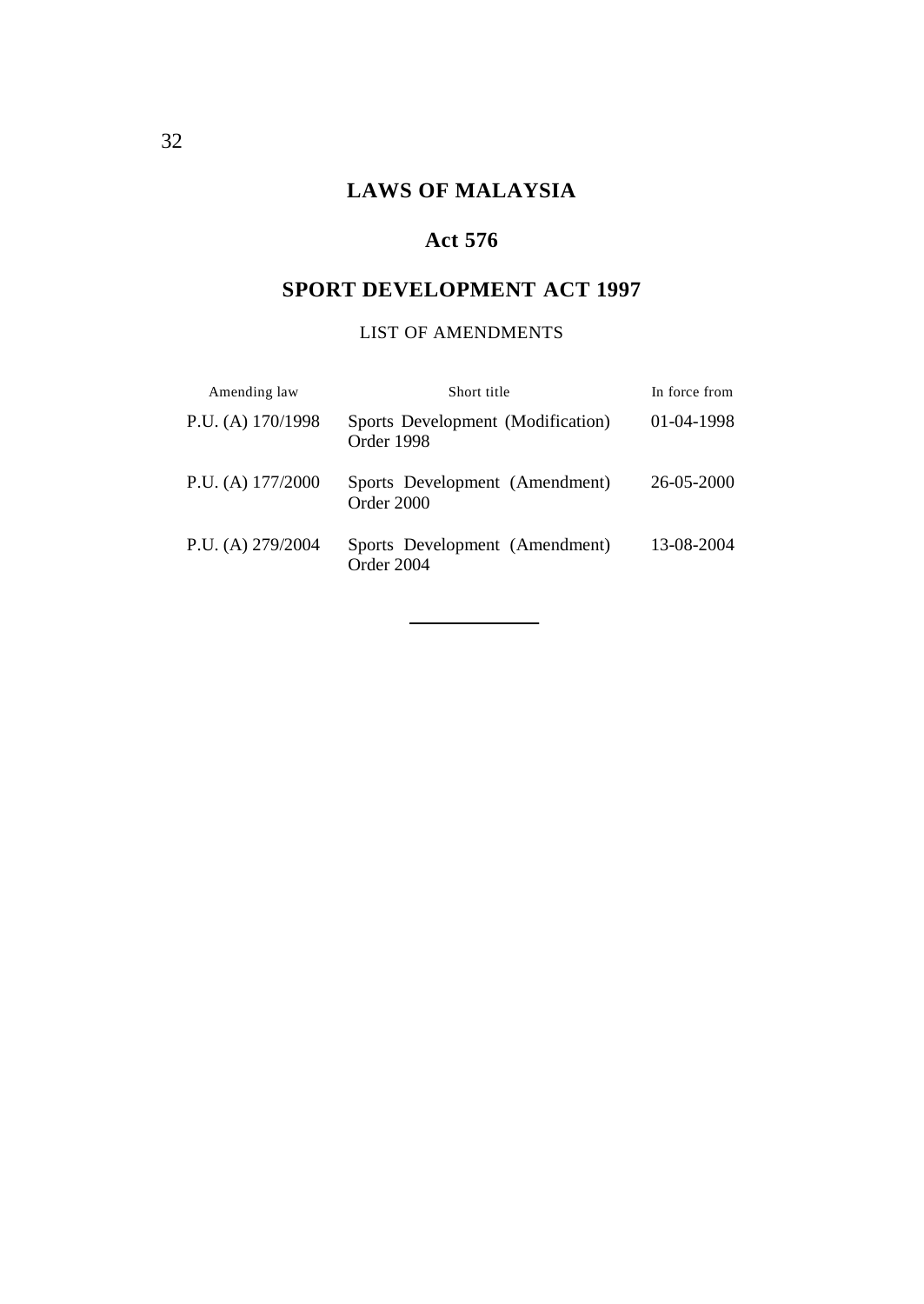# **LAWS OF MALAYSIA**

# **Act 576**

# **SPORT DEVELOPMENT ACT 1997**

# LIST OF AMENDMENTS

| Amending law        | Short title                                     | In force from |
|---------------------|-------------------------------------------------|---------------|
| P.U. (A) $170/1998$ | Sports Development (Modification)<br>Order 1998 | $01-04-1998$  |
| P.U. (A) $177/2000$ | Sports Development (Amendment)<br>Order 2000    | 26-05-2000    |
| P.U. (A) $279/2004$ | Sports Development (Amendment)<br>Order 2004    | 13-08-2004    |